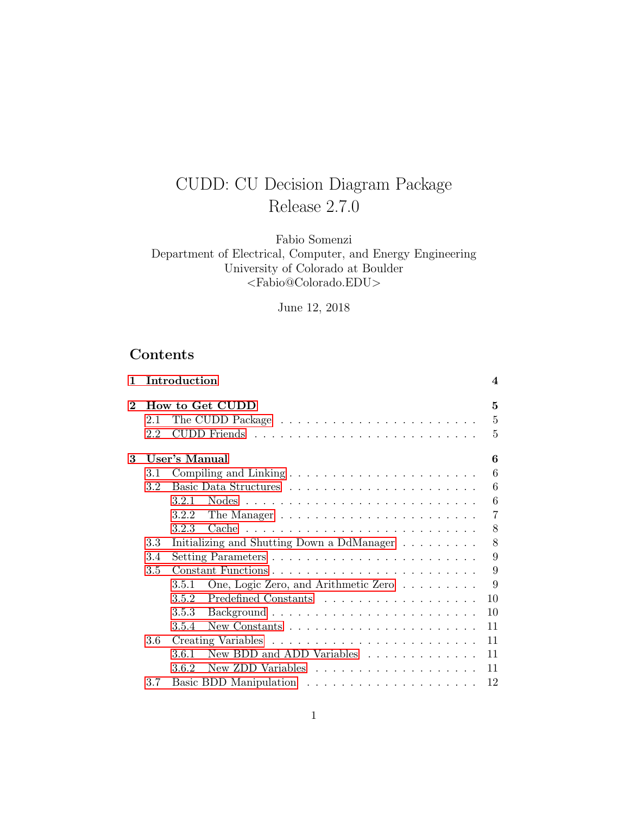# CUDD: CU Decision Diagram Package Release 2.7.0

Fabio Somenzi Department of Electrical, Computer, and Energy Engineering University of Colorado at Boulder <Fabio@Colorado.EDU>

June 12, 2018

## Contents

| $\mathbf{1}$ |     | Introduction                                                                 | 4              |
|--------------|-----|------------------------------------------------------------------------------|----------------|
| $\bf{2}$     |     | How to Get CUDD                                                              | 5              |
|              | 2.1 |                                                                              | 5              |
|              | 2.2 |                                                                              | 5              |
| 3            |     | User's Manual                                                                | 6              |
|              | 3.1 |                                                                              | 6              |
|              | 3.2 |                                                                              | 6              |
|              |     | 3.2.1                                                                        | 6              |
|              |     | 3.2.2<br>The Manager $\dots \dots \dots \dots \dots \dots \dots \dots \dots$ | $\overline{7}$ |
|              |     | 3.2.3                                                                        | 8              |
|              | 3.3 | Initializing and Shutting Down a DdManager                                   | 8              |
|              | 3.4 |                                                                              | 9              |
|              | 3.5 |                                                                              | 9              |
|              |     | One, Logic Zero, and Arithmetic Zero<br>3.5.1                                | 9              |
|              |     | 3.5.2                                                                        | 10             |
|              |     | 3.5.3                                                                        | 10             |
|              |     | 3.5.4                                                                        | 11             |
|              | 3.6 |                                                                              | 11             |
|              |     | 3.6.1<br>New BDD and ADD Variables                                           | 11             |
|              |     | 3.6.2                                                                        | 11             |
|              | 3.7 |                                                                              | 12             |
|              |     |                                                                              |                |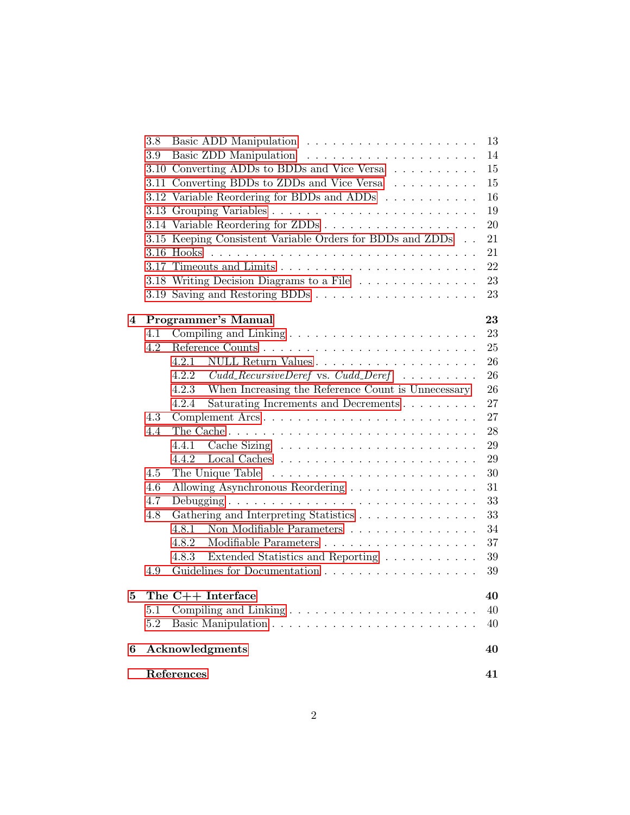|   |         | References                                                        | 41         |
|---|---------|-------------------------------------------------------------------|------------|
| 6 |         | Acknowledgments                                                   | 40         |
|   | 5.2     |                                                                   | 40         |
|   | 5.1     |                                                                   | 40         |
| 5 |         | The $C++$ Interface                                               | 40         |
|   | 4.9     |                                                                   | 39         |
|   |         | Extended Statistics and Reporting $\ldots \ldots \ldots$<br>4.8.3 | 39         |
|   |         | 4.8.2                                                             | 37         |
|   |         | Non Modifiable Parameters<br>4.8.1                                | 34         |
|   | 4.8     | Gathering and Interpreting Statistics                             | 33         |
|   | 4.7     |                                                                   | 33         |
|   | 4.6     |                                                                   | 31         |
|   | 4.5     |                                                                   | 30         |
|   |         | 4.4.2                                                             | $\,29$     |
|   |         | 4.4.1                                                             | 29         |
|   | 4.4     |                                                                   | 28         |
|   | 4.3     | Complement Arcs                                                   | $27\,$     |
|   |         | Saturating Increments and Decrements<br>4.2.4                     | 27         |
|   |         | When Increasing the Reference Count is Unnecessary<br>4.2.3       | 26         |
|   |         | $Cudd\_RecursiveDeref$ vs. $Cudd\_Deref$<br>4.2.2                 | 26         |
|   |         | 4.2.1                                                             | ${\bf 26}$ |
|   | 4.2     |                                                                   | 25         |
|   | 4.1     |                                                                   | 23         |
| 4 |         | Programmer's Manual                                               | 23         |
|   |         |                                                                   |            |
|   |         |                                                                   | 23         |
|   |         | 3.18 Writing Decision Diagrams to a File                          | 23         |
|   |         |                                                                   | 22         |
|   |         |                                                                   | 21         |
|   |         | 3.15 Keeping Consistent Variable Orders for BDDs and ZDDs         | 21         |
|   |         |                                                                   | $20\,$     |
|   |         |                                                                   | 19         |
|   |         | 3.12 Variable Reordering for BDDs and ADDs                        | 16         |
|   |         | 3.11 Converting BDDs to ZDDs and Vice Versa                       | 15         |
|   |         | 3.10 Converting ADDs to BDDs and Vice Versa                       | 15         |
|   | $3.9\,$ |                                                                   | 14         |
|   | $3.8\,$ |                                                                   | 13         |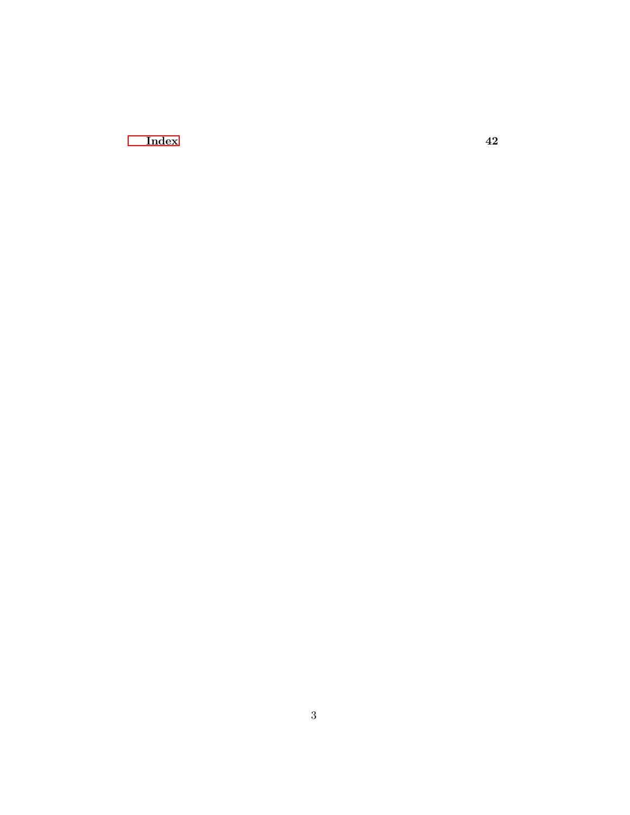$\Gamma$ [Index](#page-41-0)  $42$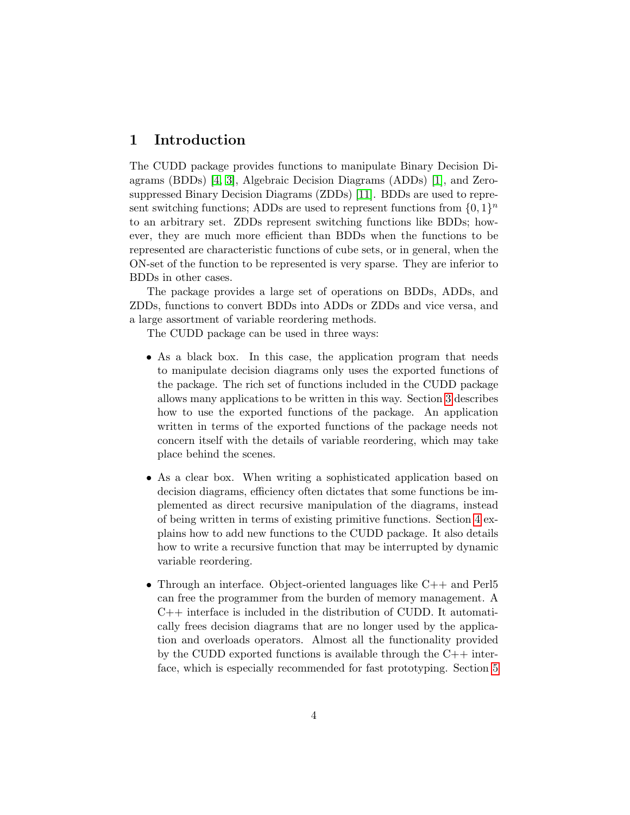## <span id="page-3-1"></span><span id="page-3-0"></span>1 Introduction

The CUDD package provides functions to manipulate Binary Decision Diagrams (BDDs) [\[4,](#page-40-1) [3\]](#page-40-2), Algebraic Decision Diagrams (ADDs) [\[1\]](#page-40-3), and Zerosuppressed Binary Decision Diagrams (ZDDs) [\[11\]](#page-41-1). BDDs are used to represent switching functions; ADDs are used to represent functions from  $\{0,1\}^n$ to an arbitrary set. ZDDs represent switching functions like BDDs; however, they are much more efficient than BDDs when the functions to be represented are characteristic functions of cube sets, or in general, when the ON-set of the function to be represented is very sparse. They are inferior to BDDs in other cases.

The package provides a large set of operations on BDDs, ADDs, and ZDDs, functions to convert BDDs into ADDs or ZDDs and vice versa, and a large assortment of variable reordering methods.

The CUDD package can be used in three ways:

- As a black box. In this case, the application program that needs to manipulate decision diagrams only uses the exported functions of the package. The rich set of functions included in the CUDD package allows many applications to be written in this way. Section [3](#page-5-0) describes how to use the exported functions of the package. An application written in terms of the exported functions of the package needs not concern itself with the details of variable reordering, which may take place behind the scenes.
- As a clear box. When writing a sophisticated application based on decision diagrams, efficiency often dictates that some functions be implemented as direct recursive manipulation of the diagrams, instead of being written in terms of existing primitive functions. Section [4](#page-22-2) explains how to add new functions to the CUDD package. It also details how to write a recursive function that may be interrupted by dynamic variable reordering.
- Through an interface. Object-oriented languages like  $C_{++}$  and Perl5 can free the programmer from the burden of memory management. A  $C++$  interface is included in the distribution of CUDD. It automatically frees decision diagrams that are no longer used by the application and overloads operators. Almost all the functionality provided by the CUDD exported functions is available through the  $C++$  interface, which is especially recommended for fast prototyping. Section [5](#page-39-0)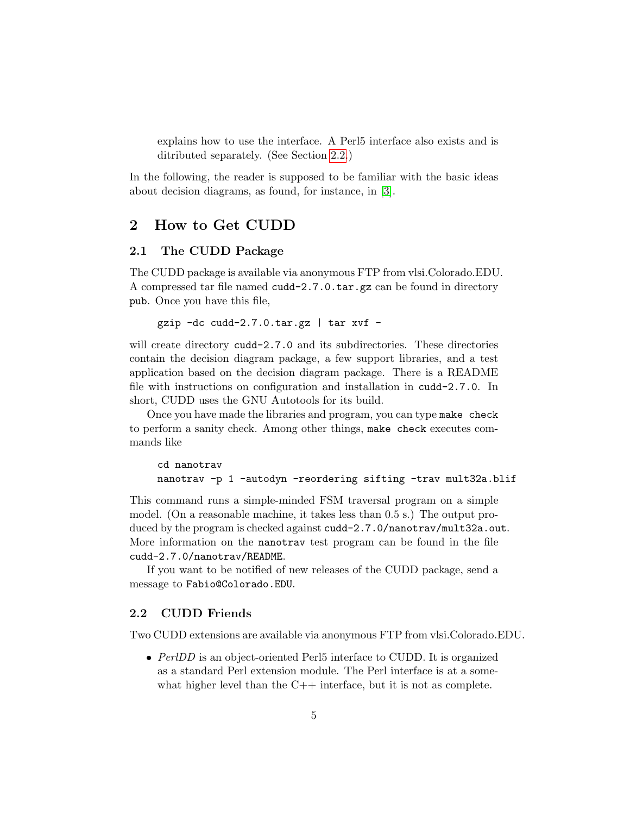<span id="page-4-3"></span>explains how to use the interface. A Perl5 interface also exists and is ditributed separately. (See Section [2.2.](#page-4-2))

In the following, the reader is supposed to be familiar with the basic ideas about decision diagrams, as found, for instance, in [\[3\]](#page-40-2).

## <span id="page-4-0"></span>2 How to Get CUDD

#### <span id="page-4-1"></span>2.1 The CUDD Package

The CUDD package is available via anonymous FTP from vlsi.Colorado.EDU. A compressed tar file named cudd-2.7.0.tar.gz can be found in directory pub. Once you have this file,

```
gzip -dc cudd-2.7.0.tar.gz | tar xvf -
```
will create directory cudd-2.7.0 and its subdirectories. These directories contain the decision diagram package, a few support libraries, and a test application based on the decision diagram package. There is a README file with instructions on configuration and installation in cudd-2.7.0. In short, CUDD uses the GNU Autotools for its build.

Once you have made the libraries and program, you can type make check to perform a sanity check. Among other things, make check executes commands like

```
cd nanotrav
nanotrav -p 1 -autodyn -reordering sifting -trav mult32a.blif
```
This command runs a simple-minded FSM traversal program on a simple model. (On a reasonable machine, it takes less than 0.5 s.) The output produced by the program is checked against cudd-2.7.0/nanotrav/mult32a.out. More information on the nanotrav test program can be found in the file cudd-2.7.0/nanotrav/README.

If you want to be notified of new releases of the CUDD package, send a message to Fabio@Colorado.EDU.

#### <span id="page-4-2"></span>2.2 CUDD Friends

Two CUDD extensions are available via anonymous FTP from vlsi.Colorado.EDU.

• PerlDD is an object-oriented Perl5 interface to CUDD. It is organized as a standard Perl extension module. The Perl interface is at a somewhat higher level than the  $C++$  interface, but it is not as complete.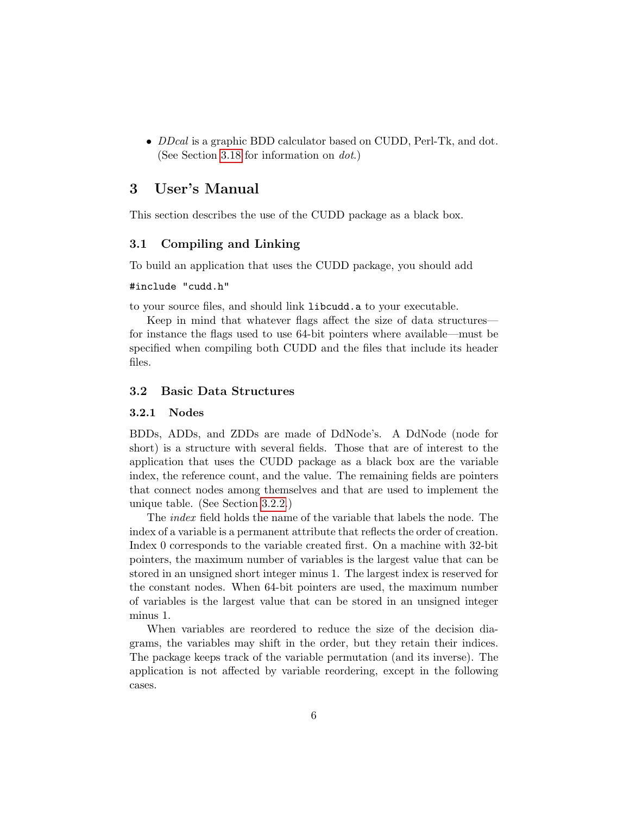<span id="page-5-4"></span>• *DDcal* is a graphic BDD calculator based on CUDD, Perl-Tk, and dot. (See Section [3.18](#page-22-0) for information on dot.)

## <span id="page-5-0"></span>3 User's Manual

This section describes the use of the CUDD package as a black box.

#### <span id="page-5-1"></span>3.1 Compiling and Linking

To build an application that uses the CUDD package, you should add

#### #include "cudd.h"

to your source files, and should link libcudd.a to your executable.

Keep in mind that whatever flags affect the size of data structures for instance the flags used to use 64-bit pointers where available—must be specified when compiling both CUDD and the files that include its header files.

#### <span id="page-5-2"></span>3.2 Basic Data Structures

#### <span id="page-5-3"></span>3.2.1 Nodes

BDDs, ADDs, and ZDDs are made of DdNode's. A DdNode (node for short) is a structure with several fields. Those that are of interest to the application that uses the CUDD package as a black box are the variable index, the reference count, and the value. The remaining fields are pointers that connect nodes among themselves and that are used to implement the unique table. (See Section [3.2.2.](#page-6-0))

The index field holds the name of the variable that labels the node. The index of a variable is a permanent attribute that reflects the order of creation. Index 0 corresponds to the variable created first. On a machine with 32-bit pointers, the maximum number of variables is the largest value that can be stored in an unsigned short integer minus 1. The largest index is reserved for the constant nodes. When 64-bit pointers are used, the maximum number of variables is the largest value that can be stored in an unsigned integer minus 1.

When variables are reordered to reduce the size of the decision diagrams, the variables may shift in the order, but they retain their indices. The package keeps track of the variable permutation (and its inverse). The application is not affected by variable reordering, except in the following cases.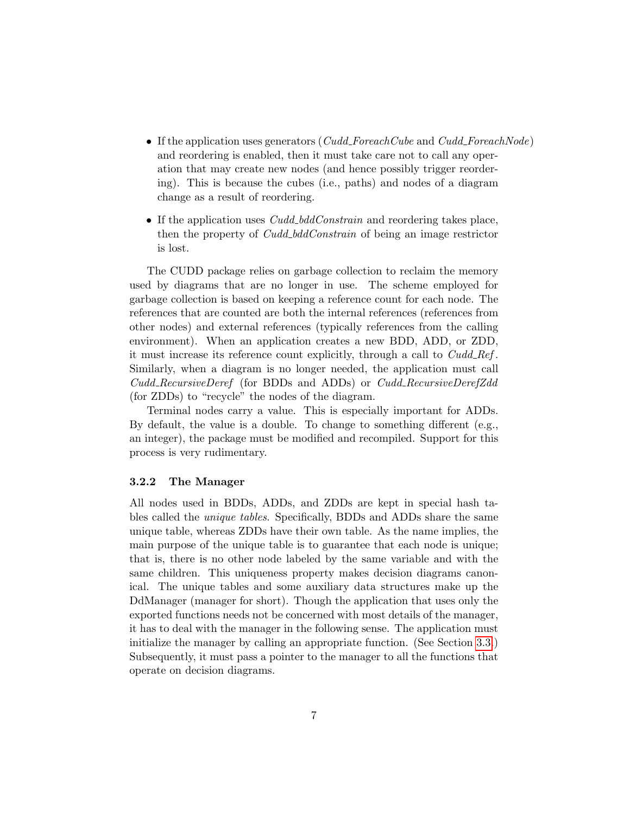- <span id="page-6-1"></span>• If the application uses generators ( $Cudd\_For eachCube$  and  $Cudd\_For eachNode)$ ) and reordering is enabled, then it must take care not to call any operation that may create new nodes (and hence possibly trigger reordering). This is because the cubes (i.e., paths) and nodes of a diagram change as a result of reordering.
- If the application uses  $Cudd\_bddConstant$  and reordering takes place, then the property of *Cudd\_bddConstrain* of being an image restrictor is lost.

The CUDD package relies on garbage collection to reclaim the memory used by diagrams that are no longer in use. The scheme employed for garbage collection is based on keeping a reference count for each node. The references that are counted are both the internal references (references from other nodes) and external references (typically references from the calling environment). When an application creates a new BDD, ADD, or ZDD, it must increase its reference count explicitly, through a call to  $Cudd\_Ref$ . Similarly, when a diagram is no longer needed, the application must call Cudd RecursiveDeref (for BDDs and ADDs) or Cudd RecursiveDerefZdd (for ZDDs) to "recycle" the nodes of the diagram.

Terminal nodes carry a value. This is especially important for ADDs. By default, the value is a double. To change to something different (e.g., an integer), the package must be modified and recompiled. Support for this process is very rudimentary.

#### <span id="page-6-0"></span>3.2.2 The Manager

All nodes used in BDDs, ADDs, and ZDDs are kept in special hash tables called the unique tables. Specifically, BDDs and ADDs share the same unique table, whereas ZDDs have their own table. As the name implies, the main purpose of the unique table is to guarantee that each node is unique; that is, there is no other node labeled by the same variable and with the same children. This uniqueness property makes decision diagrams canonical. The unique tables and some auxiliary data structures make up the DdManager (manager for short). Though the application that uses only the exported functions needs not be concerned with most details of the manager, it has to deal with the manager in the following sense. The application must initialize the manager by calling an appropriate function. (See Section [3.3.](#page-7-1)) Subsequently, it must pass a pointer to the manager to all the functions that operate on decision diagrams.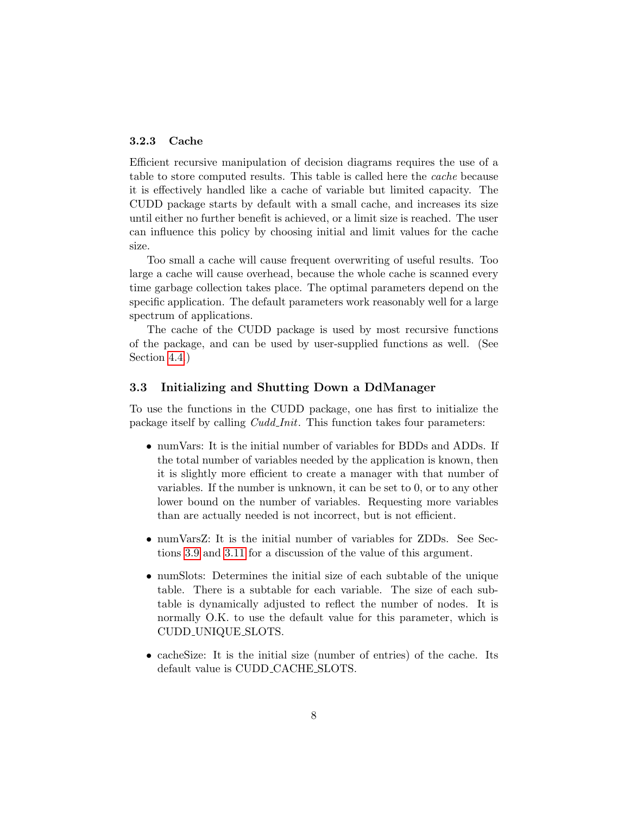#### <span id="page-7-2"></span><span id="page-7-0"></span>3.2.3 Cache

Efficient recursive manipulation of decision diagrams requires the use of a table to store computed results. This table is called here the *cache* because it is effectively handled like a cache of variable but limited capacity. The CUDD package starts by default with a small cache, and increases its size until either no further benefit is achieved, or a limit size is reached. The user can influence this policy by choosing initial and limit values for the cache size.

Too small a cache will cause frequent overwriting of useful results. Too large a cache will cause overhead, because the whole cache is scanned every time garbage collection takes place. The optimal parameters depend on the specific application. The default parameters work reasonably well for a large spectrum of applications.

The cache of the CUDD package is used by most recursive functions of the package, and can be used by user-supplied functions as well. (See Section [4.4.](#page-27-0))

#### <span id="page-7-1"></span>3.3 Initializing and Shutting Down a DdManager

To use the functions in the CUDD package, one has first to initialize the package itself by calling *Cudd Init*. This function takes four parameters:

- numVars: It is the initial number of variables for BDDs and ADDs. If the total number of variables needed by the application is known, then it is slightly more efficient to create a manager with that number of variables. If the number is unknown, it can be set to 0, or to any other lower bound on the number of variables. Requesting more variables than are actually needed is not incorrect, but is not efficient.
- numVarsZ: It is the initial number of variables for ZDDs. See Sections [3.9](#page-13-0) and [3.11](#page-14-1) for a discussion of the value of this argument.
- numSlots: Determines the initial size of each subtable of the unique table. There is a subtable for each variable. The size of each subtable is dynamically adjusted to reflect the number of nodes. It is normally O.K. to use the default value for this parameter, which is CUDD UNIQUE SLOTS.
- cachesize: It is the initial size (number of entries) of the cache. Its default value is CUDD CACHE SLOTS.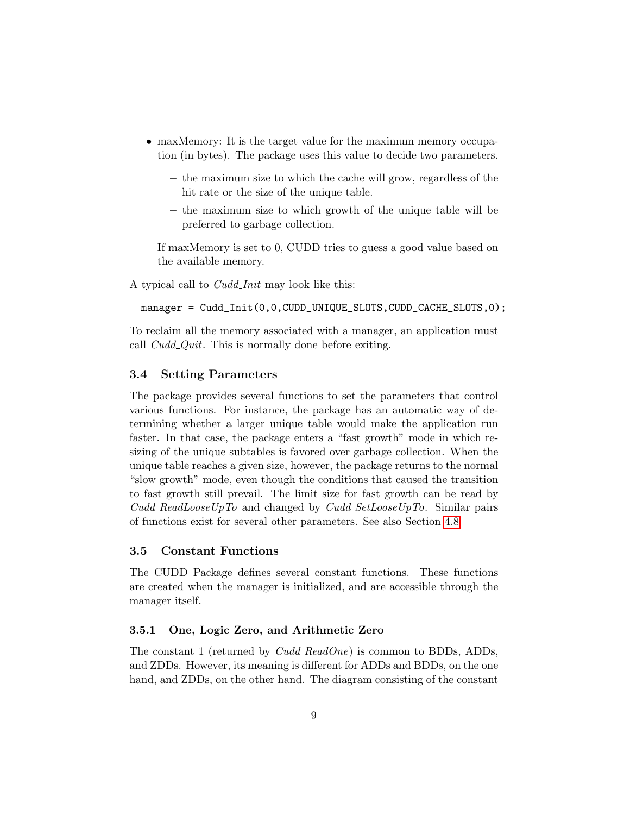- <span id="page-8-3"></span>• maxMemory: It is the target value for the maximum memory occupation (in bytes). The package uses this value to decide two parameters.
	- the maximum size to which the cache will grow, regardless of the hit rate or the size of the unique table.
	- the maximum size to which growth of the unique table will be preferred to garbage collection.

If maxMemory is set to 0, CUDD tries to guess a good value based on the available memory.

A typical call to *Cudd\_Init* may look like this:

```
manager = Cudd_Init(0,0,CUDD_UNIQUE_SLOTS,CUDD_CACHE_SLOTS,0);
```
To reclaim all the memory associated with a manager, an application must call  $Cudd\_Quit$ . This is normally done before exiting.

#### <span id="page-8-0"></span>3.4 Setting Parameters

The package provides several functions to set the parameters that control various functions. For instance, the package has an automatic way of determining whether a larger unique table would make the application run faster. In that case, the package enters a "fast growth" mode in which resizing of the unique subtables is favored over garbage collection. When the unique table reaches a given size, however, the package returns to the normal "slow growth" mode, even though the conditions that caused the transition to fast growth still prevail. The limit size for fast growth can be read by  $Cudd\_ReadLooseUpTo$  and changed by  $Cudd\_SetLooseUpTo$ . Similar pairs of functions exist for several other parameters. See also Section [4.8.](#page-32-1)

#### <span id="page-8-1"></span>3.5 Constant Functions

The CUDD Package defines several constant functions. These functions are created when the manager is initialized, and are accessible through the manager itself.

#### <span id="page-8-2"></span>3.5.1 One, Logic Zero, and Arithmetic Zero

The constant 1 (returned by  $Cudd\_ReadOne$ ) is common to BDDs, ADDs, and ZDDs. However, its meaning is different for ADDs and BDDs, on the one hand, and ZDDs, on the other hand. The diagram consisting of the constant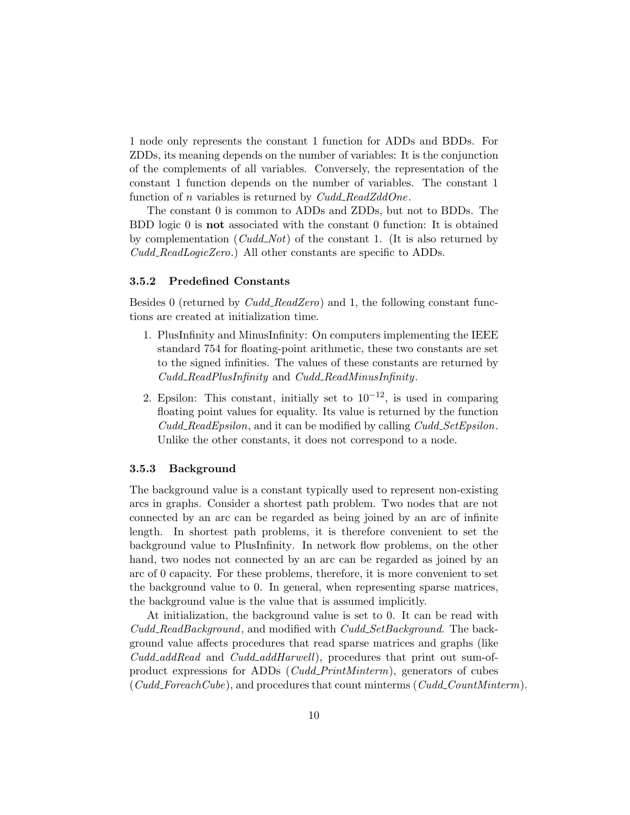<span id="page-9-2"></span>1 node only represents the constant 1 function for ADDs and BDDs. For ZDDs, its meaning depends on the number of variables: It is the conjunction of the complements of all variables. Conversely, the representation of the constant 1 function depends on the number of variables. The constant 1 function of n variables is returned by  $Cudd\_ReadZddOne$ .

The constant 0 is common to ADDs and ZDDs, but not to BDDs. The BDD logic 0 is not associated with the constant 0 function: It is obtained by complementation  $(Cudd<sub>-</sub>Not)$  of the constant 1. (It is also returned by Cudd ReadLogicZero.) All other constants are specific to ADDs.

#### <span id="page-9-0"></span>3.5.2 Predefined Constants

Besides 0 (returned by  $Cudd\_ReadZero$ ) and 1, the following constant functions are created at initialization time.

- 1. PlusInfinity and MinusInfinity: On computers implementing the IEEE standard 754 for floating-point arithmetic, these two constants are set to the signed infinities. The values of these constants are returned by Cudd ReadPlusInfinity and Cudd ReadMinusInfinity.
- 2. Epsilon: This constant, initially set to  $10^{-12}$ , is used in comparing floating point values for equality. Its value is returned by the function  $Cudd\_ReadEpsilon$ , and it can be modified by calling  $Cudd\_SetEpsilon$ . Unlike the other constants, it does not correspond to a node.

#### <span id="page-9-1"></span>3.5.3 Background

The background value is a constant typically used to represent non-existing arcs in graphs. Consider a shortest path problem. Two nodes that are not connected by an arc can be regarded as being joined by an arc of infinite length. In shortest path problems, it is therefore convenient to set the background value to PlusInfinity. In network flow problems, on the other hand, two nodes not connected by an arc can be regarded as joined by an arc of 0 capacity. For these problems, therefore, it is more convenient to set the background value to 0. In general, when representing sparse matrices, the background value is the value that is assumed implicitly.

At initialization, the background value is set to 0. It can be read with Cudd ReadBackground, and modified with Cudd SetBackground. The background value affects procedures that read sparse matrices and graphs (like Cudd<sub>-addRead</sub> and Cudd<sub>-addHarwell</sub>), procedures that print out sum-ofproduct expressions for ADDs (Cudd PrintMinterm), generators of cubes  $(Cudd\_For each Cube)$ , and procedures that count minterms  $(Cudd\_CountMinterm)$ .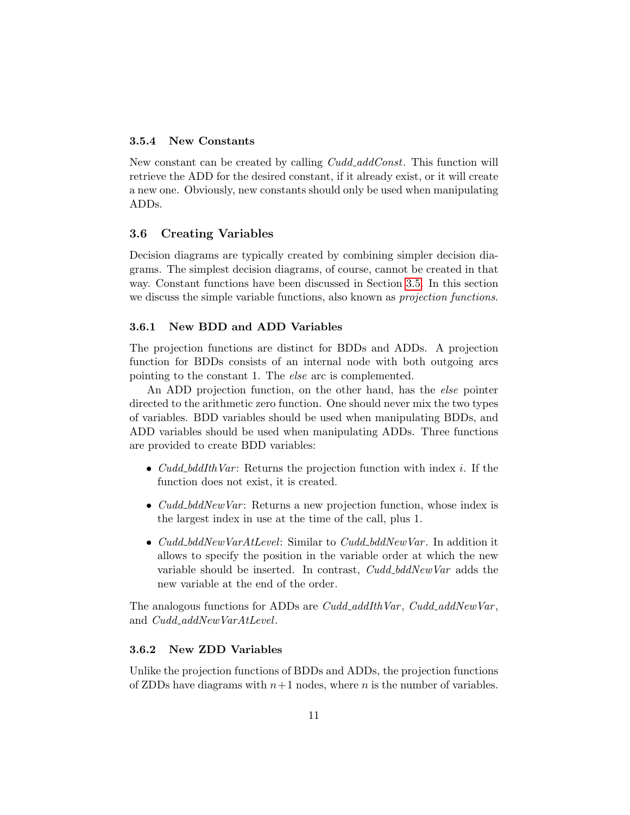#### <span id="page-10-4"></span><span id="page-10-0"></span>3.5.4 New Constants

New constant can be created by calling *Cudd\_addConst*. This function will retrieve the ADD for the desired constant, if it already exist, or it will create a new one. Obviously, new constants should only be used when manipulating ADDs.

#### <span id="page-10-1"></span>3.6 Creating Variables

Decision diagrams are typically created by combining simpler decision diagrams. The simplest decision diagrams, of course, cannot be created in that way. Constant functions have been discussed in Section [3.5.](#page-8-1) In this section we discuss the simple variable functions, also known as *projection functions*.

#### <span id="page-10-2"></span>3.6.1 New BDD and ADD Variables

The projection functions are distinct for BDDs and ADDs. A projection function for BDDs consists of an internal node with both outgoing arcs pointing to the constant 1. The else arc is complemented.

An ADD projection function, on the other hand, has the else pointer directed to the arithmetic zero function. One should never mix the two types of variables. BDD variables should be used when manipulating BDDs, and ADD variables should be used when manipulating ADDs. Three functions are provided to create BDD variables:

- *Cudd\_bddIthVar*: Returns the projection function with index i. If the function does not exist, it is created.
- $Cudd\_bddNewVar$ : Returns a new projection function, whose index is the largest index in use at the time of the call, plus 1.
- Cudd\_bddNewVarAtLevel: Similar to Cudd\_bddNewVar. In addition it allows to specify the position in the variable order at which the new variable should be inserted. In contrast, Cudd\_bddNewVar adds the new variable at the end of the order.

The analogous functions for ADDs are  $Cudd\_addIthVar$ ,  $Cudd\_addNewVar$ , and Cudd\_addNewVarAtLevel.

#### <span id="page-10-3"></span>3.6.2 New ZDD Variables

Unlike the projection functions of BDDs and ADDs, the projection functions of ZDDs have diagrams with  $n+1$  nodes, where n is the number of variables.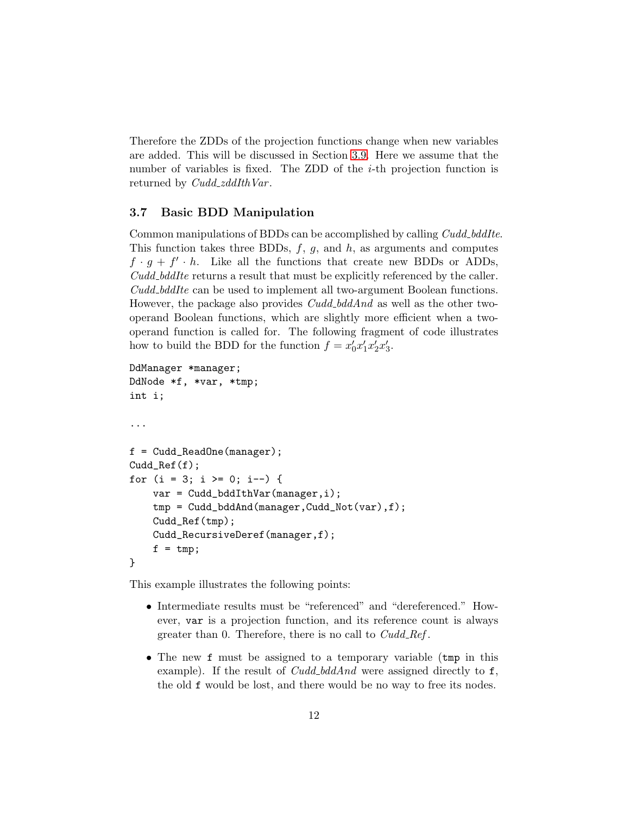<span id="page-11-1"></span>Therefore the ZDDs of the projection functions change when new variables are added. This will be discussed in Section [3.9.](#page-13-0) Here we assume that the number of variables is fixed. The ZDD of the *i*-th projection function is returned by *Cudd\_zddIthVar*.

#### <span id="page-11-0"></span>3.7 Basic BDD Manipulation

Common manipulations of BDDs can be accomplished by calling *Cudd\_bddIte*. This function takes three BDDs,  $f$ ,  $g$ , and  $h$ , as arguments and computes  $f \cdot g + f' \cdot h$ . Like all the functions that create new BDDs or ADDs, Cudd bddIte returns a result that must be explicitly referenced by the caller. Cudd bddIte can be used to implement all two-argument Boolean functions. However, the package also provides *Cudd\_bddAnd* as well as the other twooperand Boolean functions, which are slightly more efficient when a twooperand function is called for. The following fragment of code illustrates how to build the BDD for the function  $f = x'_0 x'_1 x'_2 x'_3$ .

```
DdManager *manager;
DdNode *f, *var, *tmp;
int i;
...
f = Cudd_ReadOne(manager);
Cudd_Ref(f);for (i = 3; i >= 0; i--) {
    var = Cudd_bddIthVar(manager,i);
    tmp = Cudd_bddAnd(manager,Cudd_Not(var),f);
    Cudd_Ref(tmp);
    Cudd_RecursiveDeref(manager,f);
    f = tmp;}
```
This example illustrates the following points:

- Intermediate results must be "referenced" and "dereferenced." However, var is a projection function, and its reference count is always greater than 0. Therefore, there is no call to  $Cudd_{\text{}}Ref$ .
- The new f must be assigned to a temporary variable (tmp in this example). If the result of *Cudd\_bddAnd* were assigned directly to  $f$ , the old f would be lost, and there would be no way to free its nodes.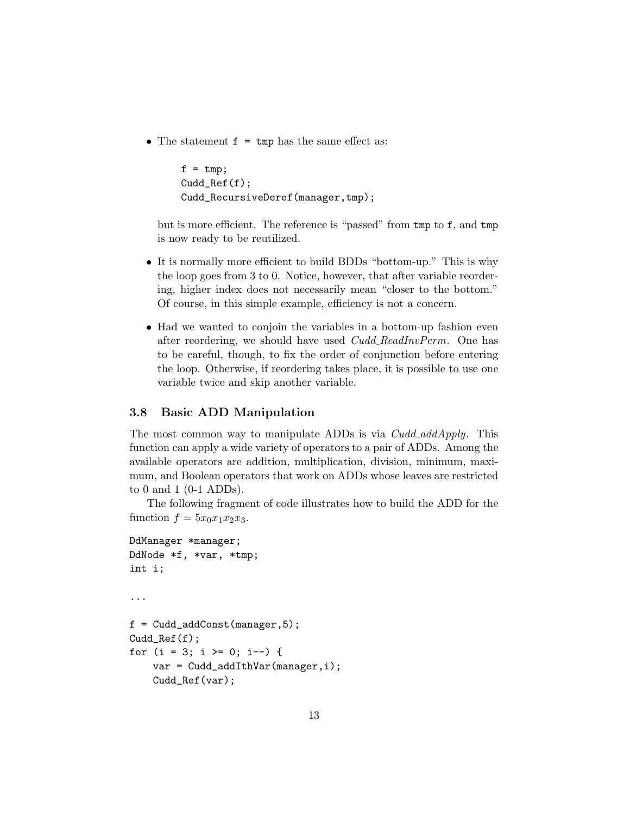<span id="page-12-1"></span>• The statement  $f = \text{tmp}$  has the same effect as:

```
f = tmp;Cudd_Ref(f);
Cudd_RecursiveDeref(manager,tmp);
```
but is more efficient. The reference is "passed" from tmp to f, and tmp is now ready to be reutilized.

- It is normally more efficient to build BDDs "bottom-up." This is why the loop goes from 3 to 0. Notice, however, that after variable reordering, higher index does not necessarily mean "closer to the bottom." Of course, in this simple example, efficiency is not a concern.
- Had we wanted to conjoin the variables in a bottom-up fashion even after reordering, we should have used *Cudd\_ReadInvPerm*. One has to be careful, though, to fix the order of conjunction before entering the loop. Otherwise, if reordering takes place, it is possible to use one variable twice and skip another variable.

#### <span id="page-12-0"></span>3.8 Basic ADD Manipulation

The most common way to manipulate ADDs is via  $Cudd\_addApply$ . This function can apply a wide variety of operators to a pair of ADDs. Among the available operators are addition, multiplication, division, minimum, maximum, and Boolean operators that work on ADDs whose leaves are restricted to 0 and 1 (0-1 ADDs).

The following fragment of code illustrates how to build the ADD for the function  $f = 5x_0x_1x_2x_3$ .

```
DdManager *manager;
DdNode *f, *var, *tmp;
int i;
...
f = Cudd\_addConst(maxager, 5);Cudd_Ref(f);
for (i = 3; i >= 0; i--) {
    var = Cudd_addIthVar(manager,i);
    Cudd_Ref(var);
```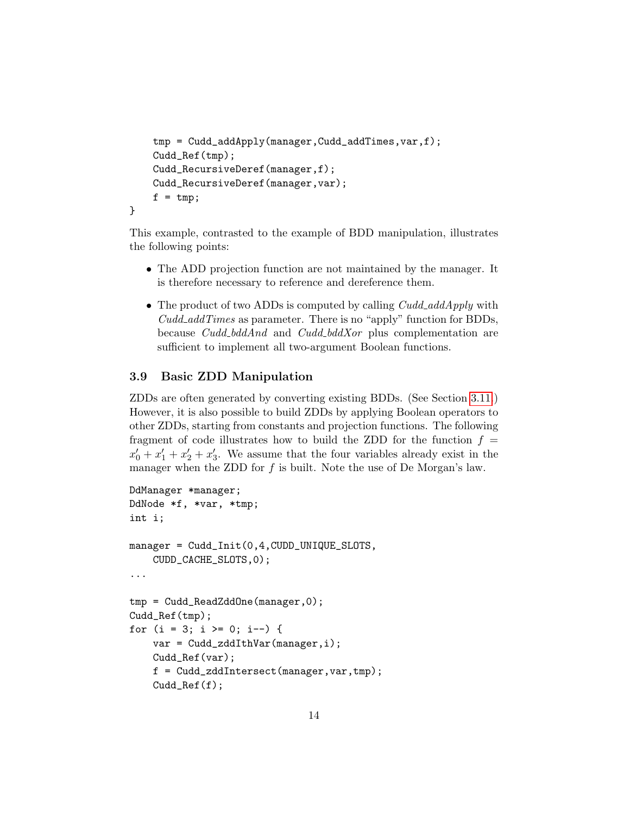```
tmp = Cudd_addApply(manager,Cudd_addTimes,var,f);
    Cudd_Ref(tmp);
    Cudd_RecursiveDeref(manager,f);
    Cudd_RecursiveDeref(manager,var);
    f = \text{tmp};}
```
This example, contrasted to the example of BDD manipulation, illustrates the following points:

- The ADD projection function are not maintained by the manager. It is therefore necessary to reference and dereference them.
- The product of two ADDs is computed by calling  $Cudd\_addApply$  with  $Cudd\_addTimes$  as parameter. There is no "apply" function for BDDs, because Cudd\_bddAnd and Cudd\_bddXor plus complementation are sufficient to implement all two-argument Boolean functions.

#### <span id="page-13-0"></span>3.9 Basic ZDD Manipulation

ZDDs are often generated by converting existing BDDs. (See Section [3.11.](#page-14-1)) However, it is also possible to build ZDDs by applying Boolean operators to other ZDDs, starting from constants and projection functions. The following fragment of code illustrates how to build the ZDD for the function  $f =$  $x'_0 + x'_1 + x'_2 + x'_3$ . We assume that the four variables already exist in the manager when the ZDD for  $f$  is built. Note the use of De Morgan's law.

```
DdManager *manager;
DdNode *f, *var, *tmp;
int i;
manager = Cudd_Init(0,4,CUDD_UNIQUE_SLOTS,
    CUDD_CACHE_SLOTS,0);
...
tmp = Cudd_ReadZddOne(manager,0);
Cudd_Ref(tmp);
for (i = 3; i >= 0; i--) {
    var = Cudd_zddIthVar(manager,i);
    Cudd_Ref(var);
    f = Cudd_zddIntersect(manager,var,tmp);
    Cudd_Ref(f);
```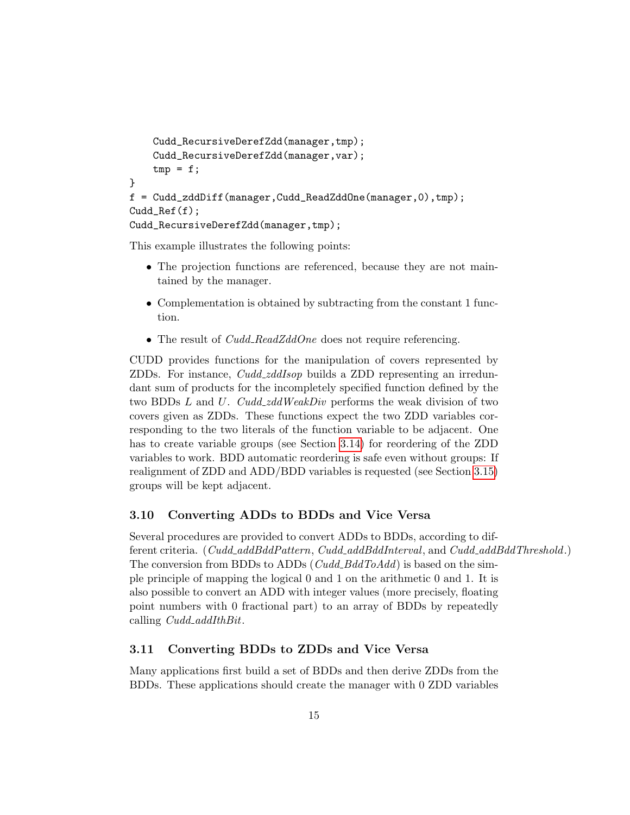```
Cudd_RecursiveDerefZdd(manager,tmp);
    Cudd_RecursiveDerefZdd(manager,var);
    tmp = f;}
f = Cudd_zddDiff(manager,Cudd_ReadZddOne(manager,0),tmp);
Cudd_Ref(f);
Cudd_RecursiveDerefZdd(manager,tmp);
```
This example illustrates the following points:

- The projection functions are referenced, because they are not maintained by the manager.
- Complementation is obtained by subtracting from the constant 1 function.
- The result of  $Cudd\_ReadZddOne$  does not require referencing.

CUDD provides functions for the manipulation of covers represented by ZDDs. For instance, Cudd zddIsop builds a ZDD representing an irredundant sum of products for the incompletely specified function defined by the two BDDs  $L$  and  $U$ . Cudd\_zddWeakDiv performs the weak division of two covers given as ZDDs. These functions expect the two ZDD variables corresponding to the two literals of the function variable to be adjacent. One has to create variable groups (see Section [3.14\)](#page-19-0) for reordering of the ZDD variables to work. BDD automatic reordering is safe even without groups: If realignment of ZDD and ADD/BDD variables is requested (see Section [3.15\)](#page-20-0) groups will be kept adjacent.

#### <span id="page-14-0"></span>3.10 Converting ADDs to BDDs and Vice Versa

Several procedures are provided to convert ADDs to BDDs, according to different criteria. (Cudd\_addBddPattern, Cudd\_addBddInterval, and Cudd\_addBddThreshold.) The conversion from BDDs to ADDs (Cudd BddToAdd) is based on the simple principle of mapping the logical 0 and 1 on the arithmetic 0 and 1. It is also possible to convert an ADD with integer values (more precisely, floating point numbers with 0 fractional part) to an array of BDDs by repeatedly calling *Cudd\_addIthBit*.

#### <span id="page-14-1"></span>3.11 Converting BDDs to ZDDs and Vice Versa

Many applications first build a set of BDDs and then derive ZDDs from the BDDs. These applications should create the manager with 0 ZDD variables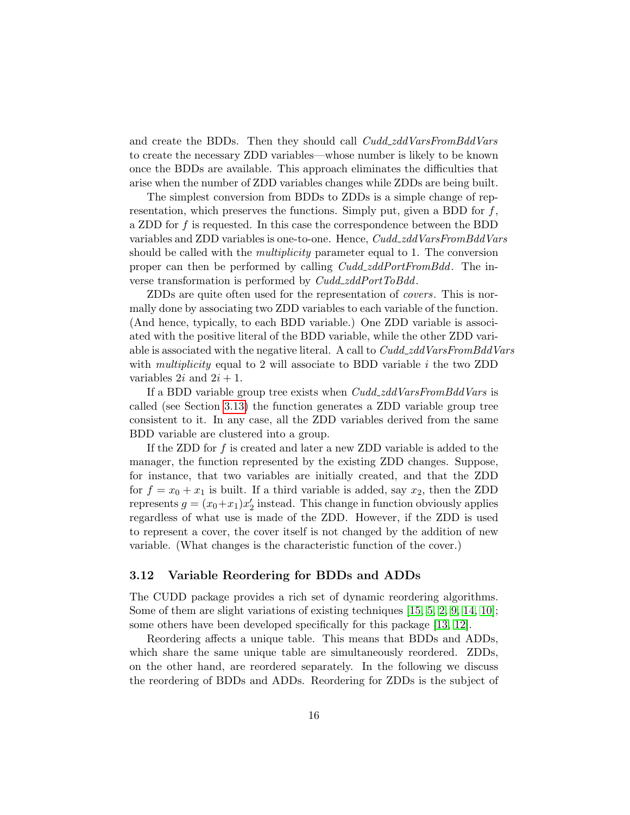<span id="page-15-1"></span>and create the BDDs. Then they should call  $Cudd\_zddVarsFromBddVars$ to create the necessary ZDD variables—whose number is likely to be known once the BDDs are available. This approach eliminates the difficulties that arise when the number of ZDD variables changes while ZDDs are being built.

The simplest conversion from BDDs to ZDDs is a simple change of representation, which preserves the functions. Simply put, given a BDD for  $f$ , a ZDD for f is requested. In this case the correspondence between the BDD variables and ZDD variables is one-to-one. Hence, Cudd\_zddVarsFromBddVars should be called with the multiplicity parameter equal to 1. The conversion proper can then be performed by calling  $Cudd\_zddPortFromBdd$ . The inverse transformation is performed by Cudd\_zddPortToBdd.

ZDDs are quite often used for the representation of covers. This is normally done by associating two ZDD variables to each variable of the function. (And hence, typically, to each BDD variable.) One ZDD variable is associated with the positive literal of the BDD variable, while the other ZDD variable is associated with the negative literal. A call to Cudd\_zddVarsFromBddVars with *multiplicity* equal to 2 will associate to BDD variable  $i$  the two ZDD variables  $2i$  and  $2i + 1$ .

If a BDD variable group tree exists when Cudd\_zddVarsFromBddVars is called (see Section [3.13\)](#page-18-0) the function generates a ZDD variable group tree consistent to it. In any case, all the ZDD variables derived from the same BDD variable are clustered into a group.

If the ZDD for f is created and later a new ZDD variable is added to the manager, the function represented by the existing ZDD changes. Suppose, for instance, that two variables are initially created, and that the ZDD for  $f = x_0 + x_1$  is built. If a third variable is added, say  $x_2$ , then the ZDD represents  $g = (x_0 + x_1)x_2'$  instead. This change in function obviously applies regardless of what use is made of the ZDD. However, if the ZDD is used to represent a cover, the cover itself is not changed by the addition of new variable. (What changes is the characteristic function of the cover.)

#### <span id="page-15-0"></span>3.12 Variable Reordering for BDDs and ADDs

The CUDD package provides a rich set of dynamic reordering algorithms. Some of them are slight variations of existing techniques [\[15,](#page-41-2) [5,](#page-40-4) [2,](#page-40-5) [9,](#page-41-3) [14,](#page-41-4) [10\]](#page-41-5); some others have been developed specifically for this package [\[13,](#page-41-6) [12\]](#page-41-7).

Reordering affects a unique table. This means that BDDs and ADDs, which share the same unique table are simultaneously reordered. ZDDs, on the other hand, are reordered separately. In the following we discuss the reordering of BDDs and ADDs. Reordering for ZDDs is the subject of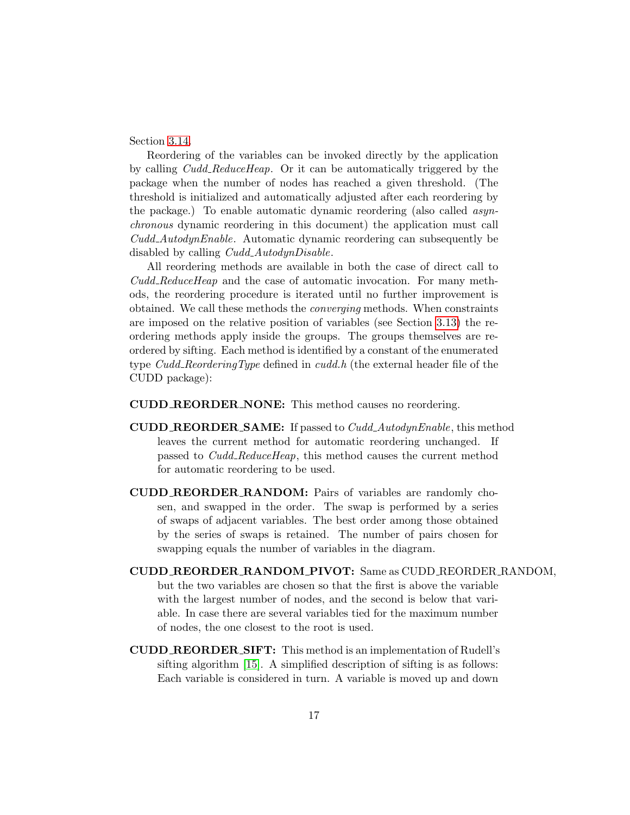<span id="page-16-0"></span>Section [3.14.](#page-19-0)

Reordering of the variables can be invoked directly by the application by calling Cudd ReduceHeap. Or it can be automatically triggered by the package when the number of nodes has reached a given threshold. (The threshold is initialized and automatically adjusted after each reordering by the package.) To enable automatic dynamic reordering (also called asynchronous dynamic reordering in this document) the application must call Cudd AutodynEnable. Automatic dynamic reordering can subsequently be disabled by calling *Cudd\_AutodynDisable*.

All reordering methods are available in both the case of direct call to Cudd ReduceHeap and the case of automatic invocation. For many methods, the reordering procedure is iterated until no further improvement is obtained. We call these methods the converging methods. When constraints are imposed on the relative position of variables (see Section [3.13\)](#page-18-0) the reordering methods apply inside the groups. The groups themselves are reordered by sifting. Each method is identified by a constant of the enumerated type Cudd ReorderingType defined in cudd.h (the external header file of the CUDD package):

CUDD REORDER NONE: This method causes no reordering.

- **CUDD\_REORDER\_SAME:** If passed to  $Cudd\_AutodynEnable$ , this method leaves the current method for automatic reordering unchanged. If passed to Cudd ReduceHeap, this method causes the current method for automatic reordering to be used.
- CUDD REORDER RANDOM: Pairs of variables are randomly chosen, and swapped in the order. The swap is performed by a series of swaps of adjacent variables. The best order among those obtained by the series of swaps is retained. The number of pairs chosen for swapping equals the number of variables in the diagram.
- CUDD REORDER RANDOM PIVOT: Same as CUDD REORDER RANDOM, but the two variables are chosen so that the first is above the variable with the largest number of nodes, and the second is below that variable. In case there are several variables tied for the maximum number of nodes, the one closest to the root is used.
- CUDD REORDER SIFT: This method is an implementation of Rudell's sifting algorithm [\[15\]](#page-41-2). A simplified description of sifting is as follows: Each variable is considered in turn. A variable is moved up and down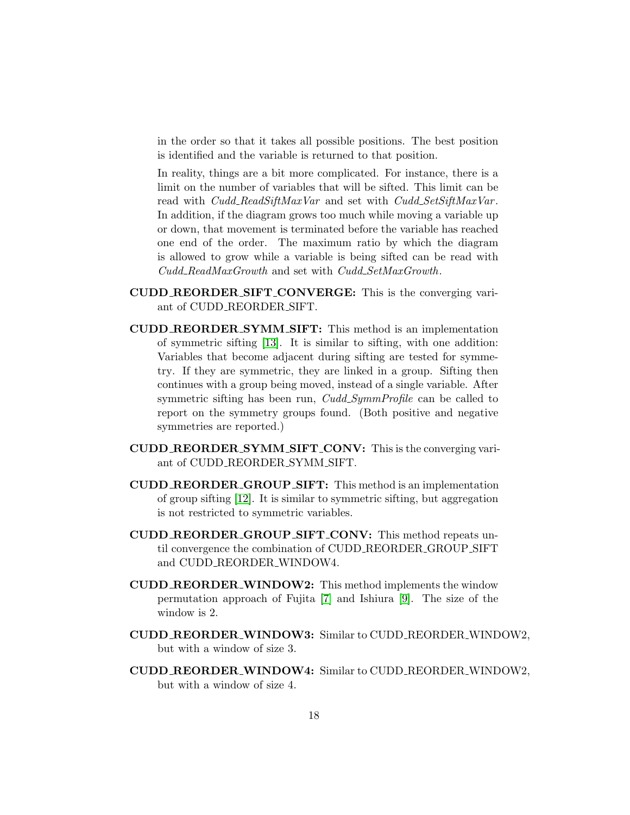<span id="page-17-0"></span>in the order so that it takes all possible positions. The best position is identified and the variable is returned to that position.

In reality, things are a bit more complicated. For instance, there is a limit on the number of variables that will be sifted. This limit can be read with *Cudd\_ReadSiftMaxVar* and set with *Cudd\_SetSiftMaxVar*. In addition, if the diagram grows too much while moving a variable up or down, that movement is terminated before the variable has reached one end of the order. The maximum ratio by which the diagram is allowed to grow while a variable is being sifted can be read with Cudd ReadMaxGrowth and set with Cudd SetMaxGrowth.

- CUDD REORDER SIFT CONVERGE: This is the converging variant of CUDD REORDER SIFT.
- CUDD REORDER SYMM SIFT: This method is an implementation of symmetric sifting [\[13\]](#page-41-6). It is similar to sifting, with one addition: Variables that become adjacent during sifting are tested for symmetry. If they are symmetric, they are linked in a group. Sifting then continues with a group being moved, instead of a single variable. After symmetric sifting has been run, *Cudd\_SymmProfile* can be called to report on the symmetry groups found. (Both positive and negative symmetries are reported.)
- CUDD REORDER SYMM SIFT CONV: This is the converging variant of CUDD REORDER SYMM SIFT.
- CUDD REORDER GROUP SIFT: This method is an implementation of group sifting [\[12\]](#page-41-7). It is similar to symmetric sifting, but aggregation is not restricted to symmetric variables.
- CUDD REORDER GROUP SIFT CONV: This method repeats until convergence the combination of CUDD REORDER GROUP SIFT and CUDD REORDER WINDOW4.
- CUDD REORDER WINDOW2: This method implements the window permutation approach of Fujita [\[7\]](#page-41-8) and Ishiura [\[9\]](#page-41-3). The size of the window is 2.
- CUDD REORDER WINDOW3: Similar to CUDD REORDER WINDOW2, but with a window of size 3.
- CUDD REORDER WINDOW4: Similar to CUDD REORDER WINDOW2, but with a window of size 4.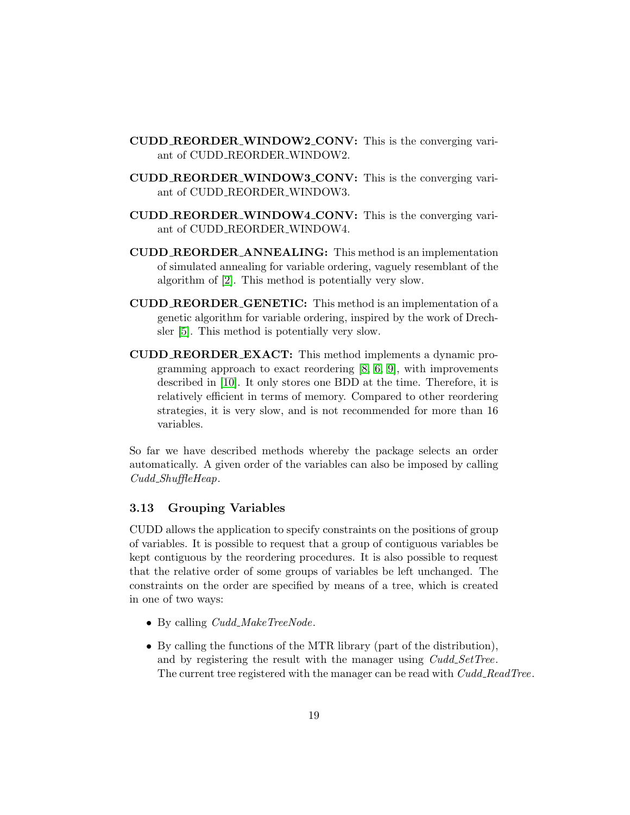- <span id="page-18-1"></span>CUDD REORDER WINDOW2 CONV: This is the converging variant of CUDD REORDER WINDOW2.
- CUDD REORDER WINDOW3 CONV: This is the converging variant of CUDD REORDER WINDOW3.
- CUDD REORDER WINDOW4 CONV: This is the converging variant of CUDD REORDER WINDOW4.
- CUDD REORDER ANNEALING: This method is an implementation of simulated annealing for variable ordering, vaguely resemblant of the algorithm of [\[2\]](#page-40-5). This method is potentially very slow.
- CUDD REORDER GENETIC: This method is an implementation of a genetic algorithm for variable ordering, inspired by the work of Drechsler [\[5\]](#page-40-4). This method is potentially very slow.
- CUDD REORDER EXACT: This method implements a dynamic programming approach to exact reordering [\[8,](#page-41-9) [6,](#page-41-10) [9\]](#page-41-3), with improvements described in [\[10\]](#page-41-5). It only stores one BDD at the time. Therefore, it is relatively efficient in terms of memory. Compared to other reordering strategies, it is very slow, and is not recommended for more than 16 variables.

So far we have described methods whereby the package selects an order automatically. A given order of the variables can also be imposed by calling Cudd\_ShuffleHeap.

#### <span id="page-18-0"></span>3.13 Grouping Variables

CUDD allows the application to specify constraints on the positions of group of variables. It is possible to request that a group of contiguous variables be kept contiguous by the reordering procedures. It is also possible to request that the relative order of some groups of variables be left unchanged. The constraints on the order are specified by means of a tree, which is created in one of two ways:

- By calling  $Cudd\_MakeTreeNode$ .
- By calling the functions of the MTR library (part of the distribution), and by registering the result with the manager using  $Cudd\_SetTree$ . The current tree registered with the manager can be read with Cudd\_ReadTree.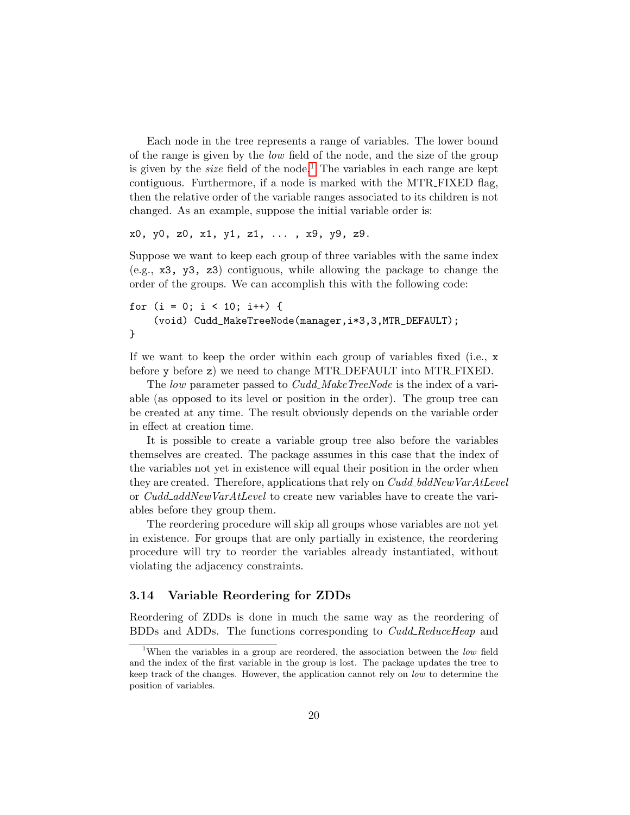<span id="page-19-2"></span>Each node in the tree represents a range of variables. The lower bound of the range is given by the low field of the node, and the size of the group is given by the *size* field of the node.<sup>[1](#page-19-1)</sup> The variables in each range are kept contiguous. Furthermore, if a node is marked with the MTR FIXED flag, then the relative order of the variable ranges associated to its children is not changed. As an example, suppose the initial variable order is:

x0, y0, z0, x1, y1, z1, ... , x9, y9, z9.

Suppose we want to keep each group of three variables with the same index (e.g., x3, y3, z3) contiguous, while allowing the package to change the order of the groups. We can accomplish this with the following code:

```
for (i = 0; i < 10; i++) {
    (void) Cudd_MakeTreeNode(manager,i*3,3,MTR_DEFAULT);
}
```
If we want to keep the order within each group of variables fixed (i.e., x before y before z) we need to change MTR DEFAULT into MTR FIXED.

The low parameter passed to Cudd\_MakeTreeNode is the index of a variable (as opposed to its level or position in the order). The group tree can be created at any time. The result obviously depends on the variable order in effect at creation time.

It is possible to create a variable group tree also before the variables themselves are created. The package assumes in this case that the index of the variables not yet in existence will equal their position in the order when they are created. Therefore, applications that rely on  $Cudd\_bddNewVarAtLevel$ or Cudd addNewVarAtLevel to create new variables have to create the variables before they group them.

The reordering procedure will skip all groups whose variables are not yet in existence. For groups that are only partially in existence, the reordering procedure will try to reorder the variables already instantiated, without violating the adjacency constraints.

#### <span id="page-19-0"></span>3.14 Variable Reordering for ZDDs

Reordering of ZDDs is done in much the same way as the reordering of BDDs and ADDs. The functions corresponding to Cudd ReduceHeap and

<span id="page-19-1"></span><sup>&</sup>lt;sup>1</sup>When the variables in a group are reordered, the association between the *low* field and the index of the first variable in the group is lost. The package updates the tree to keep track of the changes. However, the application cannot rely on low to determine the position of variables.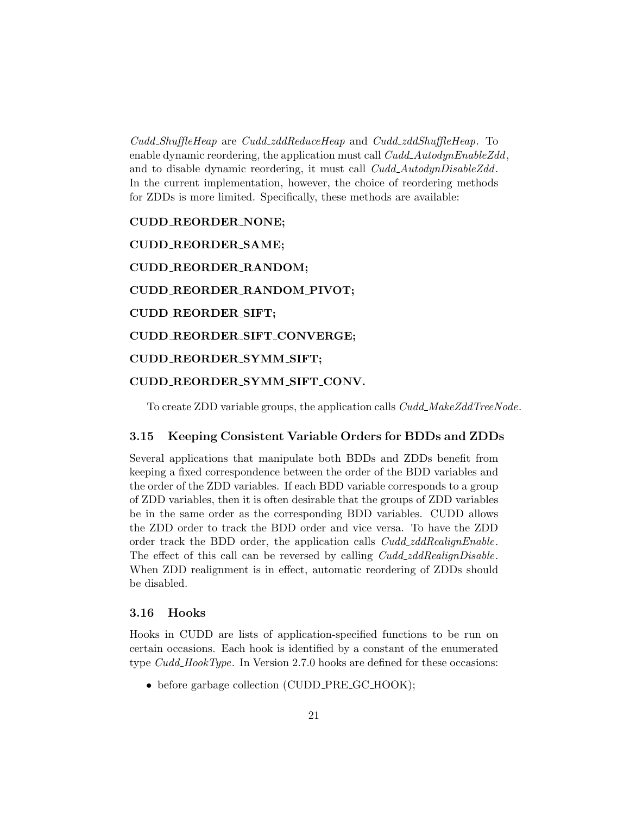<span id="page-20-2"></span>Cudd ShuffleHeap are Cudd zddReduceHeap and Cudd zddShuffleHeap. To enable dynamic reordering, the application must call  $Cudd\_AutodynEnableZdd$ , and to disable dynamic reordering, it must call Cudd\_AutodynDisableZdd. In the current implementation, however, the choice of reordering methods for ZDDs is more limited. Specifically, these methods are available:

CUDD REORDER NONE; CUDD REORDER SAME; CUDD REORDER RANDOM; CUDD REORDER RANDOM PIVOT; CUDD REORDER SIFT; CUDD REORDER SIFT CONVERGE; CUDD REORDER SYMM SIFT; CUDD REORDER SYMM SIFT CONV.

To create ZDD variable groups, the application calls  $Cudd\_MakeZddTreeNode$ .

#### <span id="page-20-0"></span>3.15 Keeping Consistent Variable Orders for BDDs and ZDDs

Several applications that manipulate both BDDs and ZDDs benefit from keeping a fixed correspondence between the order of the BDD variables and the order of the ZDD variables. If each BDD variable corresponds to a group of ZDD variables, then it is often desirable that the groups of ZDD variables be in the same order as the corresponding BDD variables. CUDD allows the ZDD order to track the BDD order and vice versa. To have the ZDD order track the BDD order, the application calls Cudd\_zddRealignEnable. The effect of this call can be reversed by calling  $Cudd\_zddRealignDisable$ . When ZDD realignment is in effect, automatic reordering of ZDDs should be disabled.

#### <span id="page-20-1"></span>3.16 Hooks

Hooks in CUDD are lists of application-specified functions to be run on certain occasions. Each hook is identified by a constant of the enumerated type  $Cudd\_HookType$ . In Version 2.7.0 hooks are defined for these occasions:

• before garbage collection (CUDD\_PRE\_GC\_HOOK);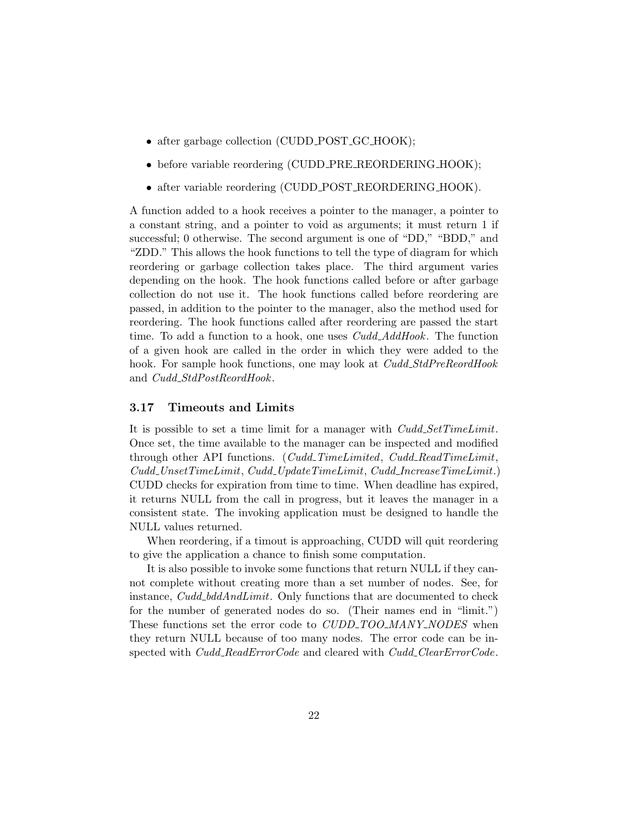- <span id="page-21-1"></span>• after garbage collection (CUDD\_POST\_GC\_HOOK);
- before variable reordering (CUDD\_PRE\_REORDERING\_HOOK);
- after variable reordering (CUDD\_POST\_REORDERING\_HOOK).

A function added to a hook receives a pointer to the manager, a pointer to a constant string, and a pointer to void as arguments; it must return 1 if successful; 0 otherwise. The second argument is one of "DD," "BDD," and "ZDD." This allows the hook functions to tell the type of diagram for which reordering or garbage collection takes place. The third argument varies depending on the hook. The hook functions called before or after garbage collection do not use it. The hook functions called before reordering are passed, in addition to the pointer to the manager, also the method used for reordering. The hook functions called after reordering are passed the start time. To add a function to a hook, one uses  $Cudd\_AddBook$ . The function of a given hook are called in the order in which they were added to the hook. For sample hook functions, one may look at Cudd StdPreReordHook and Cudd\_StdPostReordHook.

#### <span id="page-21-0"></span>3.17 Timeouts and Limits

It is possible to set a time limit for a manager with  $Cudd\_SetTimeLimit$ . Once set, the time available to the manager can be inspected and modified through other API functions. (Cudd\_TimeLimited, Cudd\_ReadTimeLimit, Cudd UnsetTimeLimit, Cudd UpdateTimeLimit, Cudd IncreaseTimeLimit.) CUDD checks for expiration from time to time. When deadline has expired, it returns NULL from the call in progress, but it leaves the manager in a consistent state. The invoking application must be designed to handle the NULL values returned.

When reordering, if a timout is approaching, CUDD will quit reordering to give the application a chance to finish some computation.

It is also possible to invoke some functions that return NULL if they cannot complete without creating more than a set number of nodes. See, for instance, Cudd\_bddAndLimit. Only functions that are documented to check for the number of generated nodes do so. (Their names end in "limit.") These functions set the error code to *CUDD\_TOO\_MANY\_NODES* when they return NULL because of too many nodes. The error code can be inspected with *Cudd\_ReadErrorCode* and cleared with *Cudd\_ClearErrorCode*.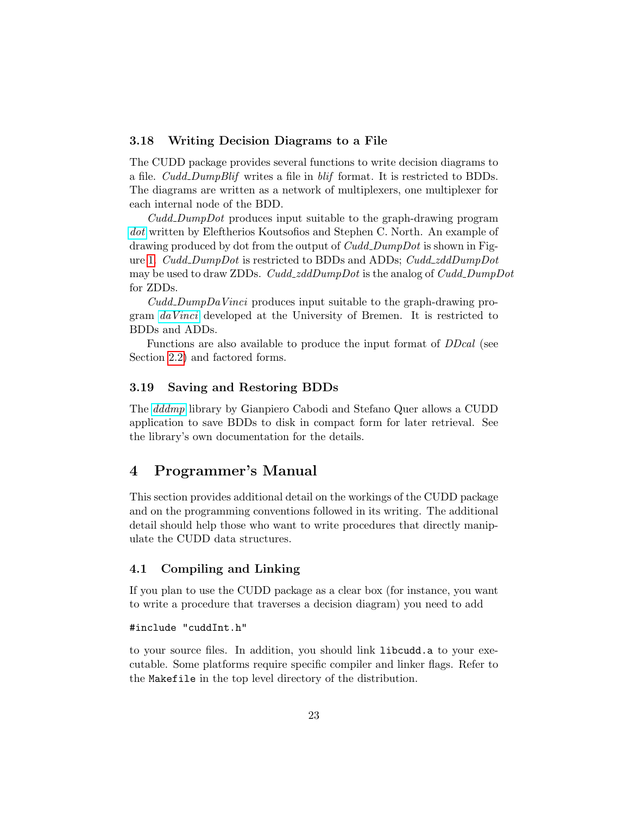#### <span id="page-22-4"></span><span id="page-22-0"></span>3.18 Writing Decision Diagrams to a File

The CUDD package provides several functions to write decision diagrams to a file.  $Cudd\_DumpBlif$  writes a file in blif format. It is restricted to BDDs. The diagrams are written as a network of multiplexers, one multiplexer for each internal node of the BDD.

Cudd DumpDot produces input suitable to the graph-drawing program [dot](http://www.graphviz.org) written by Eleftherios Koutsofios and Stephen C. North. An example of drawing produced by dot from the output of *Cudd\_DumpDot* is shown in Fig-ure [1.](#page-23-0) Cudd\_DumpDot is restricted to BDDs and ADDs; Cudd\_zddDumpDot may be used to draw ZDDs.  $Cudd\_zdDumpDot$  is the analog of  $Cudd\_DumpDot$ for ZDDs.

Cudd DumpDaVinci produces input suitable to the graph-drawing program [daVinci](ftp://ftp.uni-bremen.de/pub/graphics/daVinci) developed at the University of Bremen. It is restricted to BDDs and ADDs.

Functions are also available to produce the input format of DDcal (see Section [2.2\)](#page-4-2) and factored forms.

#### <span id="page-22-1"></span>3.19 Saving and Restoring BDDs

The [dddmp](ftp://ftp.polito.it/pub/research/dddmp/) library by Gianpiero Cabodi and Stefano Quer allows a CUDD application to save BDDs to disk in compact form for later retrieval. See the library's own documentation for the details.

## <span id="page-22-2"></span>4 Programmer's Manual

This section provides additional detail on the workings of the CUDD package and on the programming conventions followed in its writing. The additional detail should help those who want to write procedures that directly manipulate the CUDD data structures.

#### <span id="page-22-3"></span>4.1 Compiling and Linking

If you plan to use the CUDD package as a clear box (for instance, you want to write a procedure that traverses a decision diagram) you need to add

#### #include "cuddInt.h"

to your source files. In addition, you should link libcudd.a to your executable. Some platforms require specific compiler and linker flags. Refer to the Makefile in the top level directory of the distribution.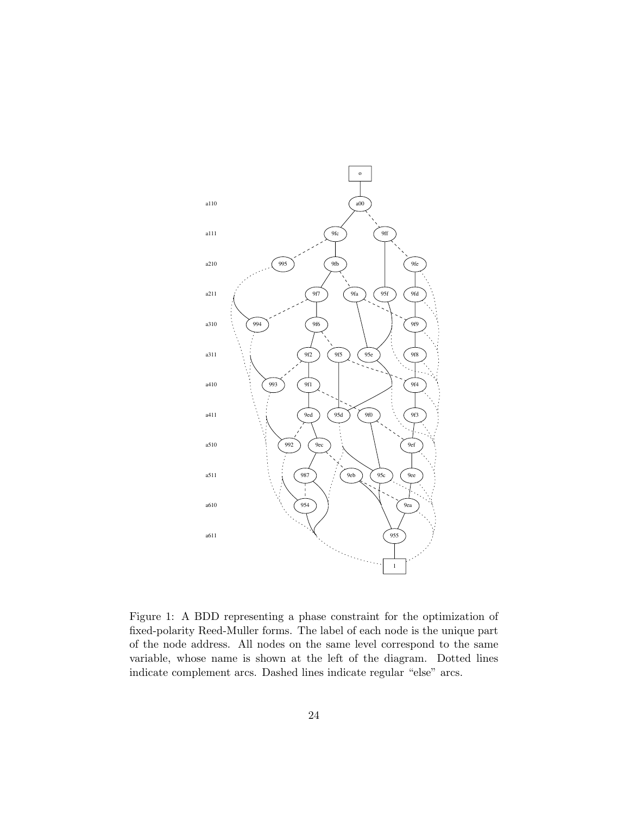<span id="page-23-1"></span>

<span id="page-23-0"></span>Figure 1: A BDD representing a phase constraint for the optimization of fixed-polarity Reed-Muller forms. The label of each node is the unique part of the node address. All nodes on the same level correspond to the same variable, whose name is shown at the left of the diagram. Dotted lines indicate complement arcs. Dashed lines indicate regular "else" arcs.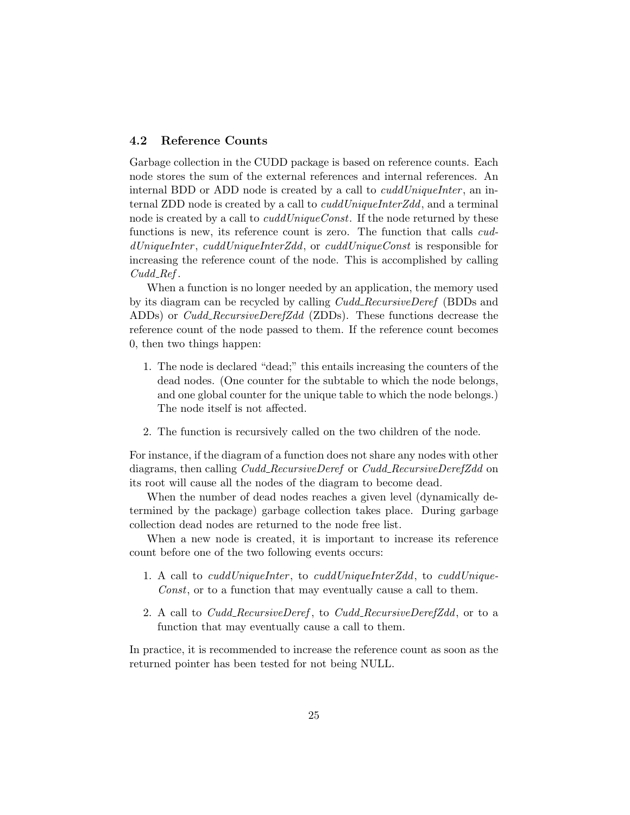#### <span id="page-24-1"></span><span id="page-24-0"></span>4.2 Reference Counts

Garbage collection in the CUDD package is based on reference counts. Each node stores the sum of the external references and internal references. An internal BDD or ADD node is created by a call to *cuddUniqueInter*, an internal ZDD node is created by a call to *cuddUniqueInterZdd*, and a terminal node is created by a call to  $c u d d U nique Const.$  If the node returned by these functions is new, its reference count is zero. The function that calls cud $dUniquel$ nter, cuddUniqueInterZdd, or cuddUniqueConst is responsible for increasing the reference count of the node. This is accomplished by calling Cudd<sub>-Ref</sub>.

When a function is no longer needed by an application, the memory used by its diagram can be recycled by calling Cudd RecursiveDeref (BDDs and ADDs) or *Cudd\_RecursiveDerefZdd* (ZDDs). These functions decrease the reference count of the node passed to them. If the reference count becomes 0, then two things happen:

- 1. The node is declared "dead;" this entails increasing the counters of the dead nodes. (One counter for the subtable to which the node belongs, and one global counter for the unique table to which the node belongs.) The node itself is not affected.
- 2. The function is recursively called on the two children of the node.

For instance, if the diagram of a function does not share any nodes with other diagrams, then calling *Cudd\_RecursiveDeref* or *Cudd\_RecursiveDerefZdd* on its root will cause all the nodes of the diagram to become dead.

When the number of dead nodes reaches a given level (dynamically determined by the package) garbage collection takes place. During garbage collection dead nodes are returned to the node free list.

When a new node is created, it is important to increase its reference count before one of the two following events occurs:

- 1. A call to *cuddUniqueInter*, to *cuddUniqueInterZdd*, to *cuddUnique-*Const, or to a function that may eventually cause a call to them.
- 2. A call to *Cudd\_RecursiveDeref*, to *Cudd\_RecursiveDerefZdd*, or to a function that may eventually cause a call to them.

In practice, it is recommended to increase the reference count as soon as the returned pointer has been tested for not being NULL.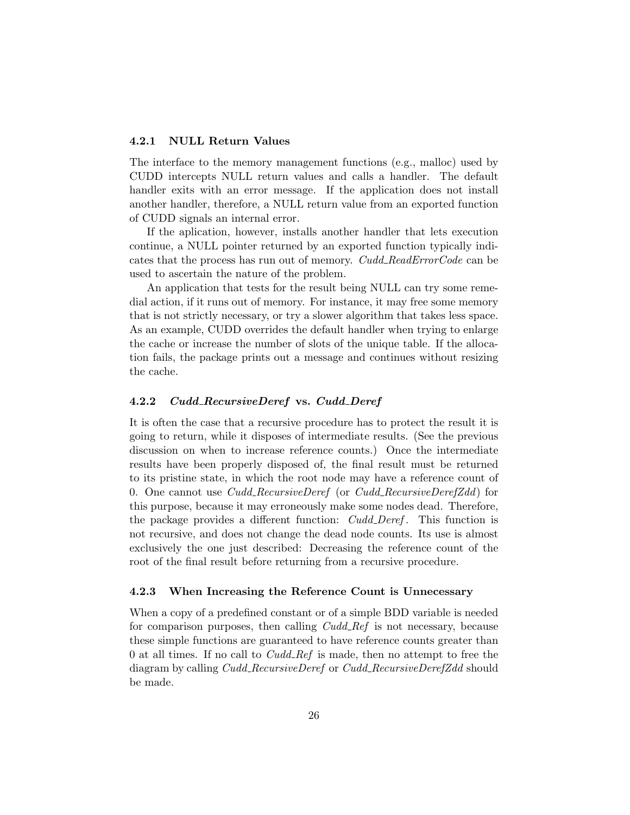#### <span id="page-25-3"></span><span id="page-25-0"></span>4.2.1 NULL Return Values

The interface to the memory management functions (e.g., malloc) used by CUDD intercepts NULL return values and calls a handler. The default handler exits with an error message. If the application does not install another handler, therefore, a NULL return value from an exported function of CUDD signals an internal error.

If the aplication, however, installs another handler that lets execution continue, a NULL pointer returned by an exported function typically indicates that the process has run out of memory. Cudd\_ReadErrorCode can be used to ascertain the nature of the problem.

An application that tests for the result being NULL can try some remedial action, if it runs out of memory. For instance, it may free some memory that is not strictly necessary, or try a slower algorithm that takes less space. As an example, CUDD overrides the default handler when trying to enlarge the cache or increase the number of slots of the unique table. If the allocation fails, the package prints out a message and continues without resizing the cache.

#### <span id="page-25-1"></span>4.2.2 Cudd\_RecursiveDeref vs. Cudd\_Deref

It is often the case that a recursive procedure has to protect the result it is going to return, while it disposes of intermediate results. (See the previous discussion on when to increase reference counts.) Once the intermediate results have been properly disposed of, the final result must be returned to its pristine state, in which the root node may have a reference count of 0. One cannot use *Cudd\_RecursiveDeref* (or *Cudd\_RecursiveDerefZdd*) for this purpose, because it may erroneously make some nodes dead. Therefore, the package provides a different function: *Cudd\_Deref*. This function is not recursive, and does not change the dead node counts. Its use is almost exclusively the one just described: Decreasing the reference count of the root of the final result before returning from a recursive procedure.

#### <span id="page-25-2"></span>4.2.3 When Increasing the Reference Count is Unnecessary

When a copy of a predefined constant or of a simple BDD variable is needed for comparison purposes, then calling  $Cudd_{\mathcal{A}}$  is not necessary, because these simple functions are guaranteed to have reference counts greater than 0 at all times. If no call to  $Cudd\_Ref$  is made, then no attempt to free the diagram by calling *Cudd RecursiveDeref* or *Cudd RecursiveDerefZdd* should be made.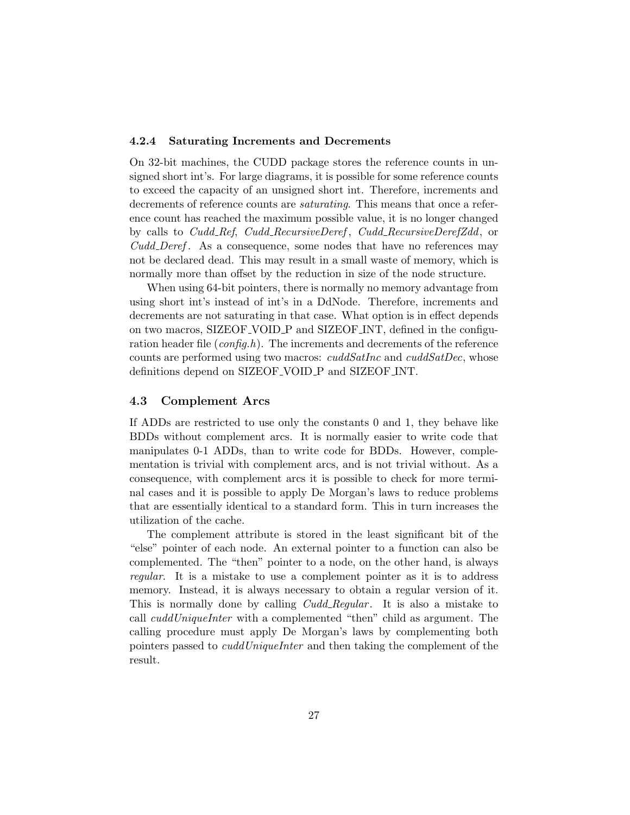#### <span id="page-26-2"></span><span id="page-26-0"></span>4.2.4 Saturating Increments and Decrements

On 32-bit machines, the CUDD package stores the reference counts in unsigned short int's. For large diagrams, it is possible for some reference counts to exceed the capacity of an unsigned short int. Therefore, increments and decrements of reference counts are saturating. This means that once a reference count has reached the maximum possible value, it is no longer changed by calls to *Cudd\_Ref, Cudd\_RecursiveDeref, Cudd\_RecursiveDerefZdd,* or Cudd Deref. As a consequence, some nodes that have no references may not be declared dead. This may result in a small waste of memory, which is normally more than offset by the reduction in size of the node structure.

When using 64-bit pointers, there is normally no memory advantage from using short int's instead of int's in a DdNode. Therefore, increments and decrements are not saturating in that case. What option is in effect depends on two macros, SIZEOF VOID P and SIZEOF INT, defined in the configuration header file  $(config.h)$ . The increments and decrements of the reference counts are performed using two macros:  $c u dS at Inc$  and  $c u dS at Dec$ , whose definitions depend on SIZEOF VOID P and SIZEOF INT.

#### <span id="page-26-1"></span>4.3 Complement Arcs

If ADDs are restricted to use only the constants 0 and 1, they behave like BDDs without complement arcs. It is normally easier to write code that manipulates 0-1 ADDs, than to write code for BDDs. However, complementation is trivial with complement arcs, and is not trivial without. As a consequence, with complement arcs it is possible to check for more terminal cases and it is possible to apply De Morgan's laws to reduce problems that are essentially identical to a standard form. This in turn increases the utilization of the cache.

The complement attribute is stored in the least significant bit of the "else" pointer of each node. An external pointer to a function can also be complemented. The "then" pointer to a node, on the other hand, is always regular. It is a mistake to use a complement pointer as it is to address memory. Instead, it is always necessary to obtain a regular version of it. This is normally done by calling *Cudd\_Regular*. It is also a mistake to call *cuddUniqueInter* with a complemented "then" child as argument. The calling procedure must apply De Morgan's laws by complementing both pointers passed to *cuddUniqueInter* and then taking the complement of the result.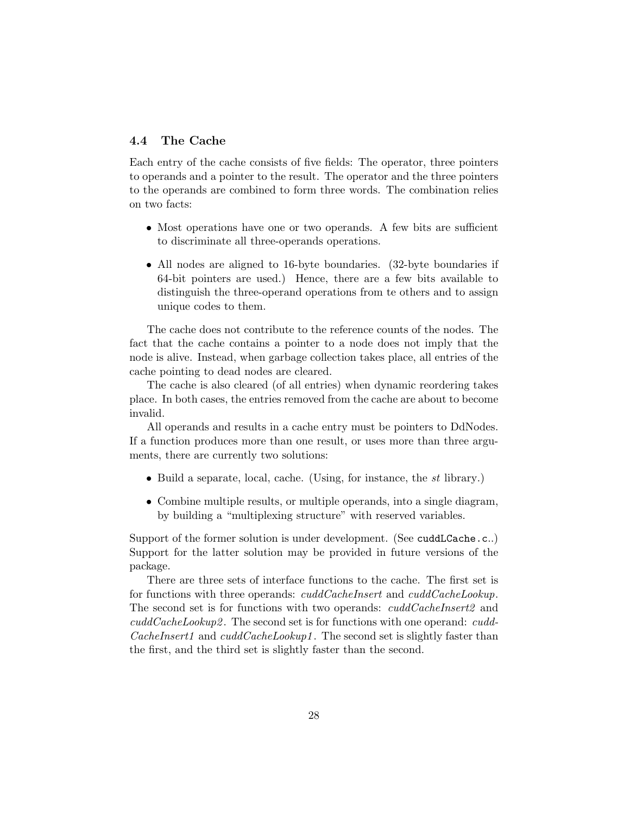#### <span id="page-27-1"></span><span id="page-27-0"></span>4.4 The Cache

Each entry of the cache consists of five fields: The operator, three pointers to operands and a pointer to the result. The operator and the three pointers to the operands are combined to form three words. The combination relies on two facts:

- Most operations have one or two operands. A few bits are sufficient to discriminate all three-operands operations.
- All nodes are aligned to 16-byte boundaries. (32-byte boundaries if 64-bit pointers are used.) Hence, there are a few bits available to distinguish the three-operand operations from te others and to assign unique codes to them.

The cache does not contribute to the reference counts of the nodes. The fact that the cache contains a pointer to a node does not imply that the node is alive. Instead, when garbage collection takes place, all entries of the cache pointing to dead nodes are cleared.

The cache is also cleared (of all entries) when dynamic reordering takes place. In both cases, the entries removed from the cache are about to become invalid.

All operands and results in a cache entry must be pointers to DdNodes. If a function produces more than one result, or uses more than three arguments, there are currently two solutions:

- Build a separate, local, cache. (Using, for instance, the st library.)
- Combine multiple results, or multiple operands, into a single diagram, by building a "multiplexing structure" with reserved variables.

Support of the former solution is under development. (See cuddLCache.c..) Support for the latter solution may be provided in future versions of the package.

There are three sets of interface functions to the cache. The first set is for functions with three operands: *cuddCacheInsert* and *cuddCacheLookup*. The second set is for functions with two operands: *cuddCacheInsert2* and  $cuddCacheLookup2$ . The second set is for functions with one operand:  $cudd CacheInsert1$  and  $cuddCacheLookup1$ . The second set is slightly faster than the first, and the third set is slightly faster than the second.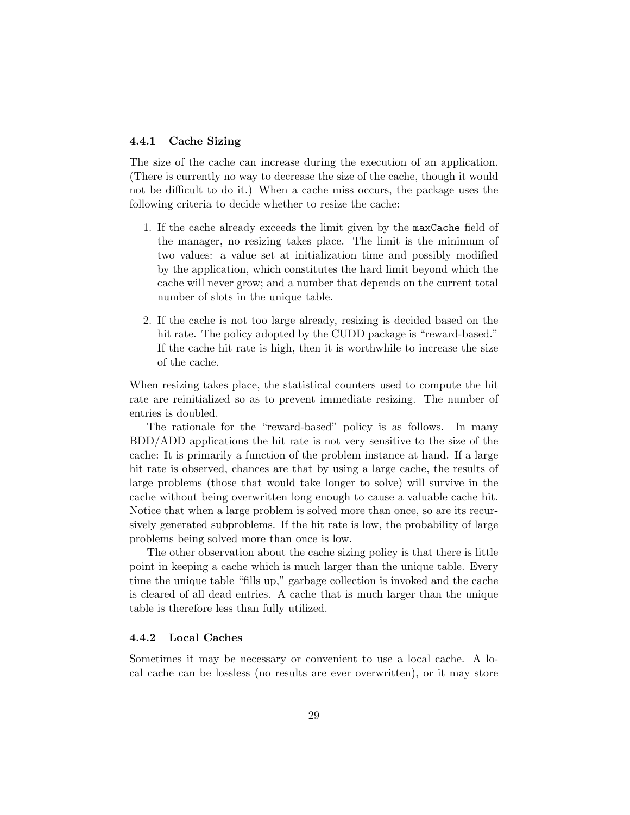#### <span id="page-28-2"></span><span id="page-28-0"></span>4.4.1 Cache Sizing

The size of the cache can increase during the execution of an application. (There is currently no way to decrease the size of the cache, though it would not be difficult to do it.) When a cache miss occurs, the package uses the following criteria to decide whether to resize the cache:

- 1. If the cache already exceeds the limit given by the maxCache field of the manager, no resizing takes place. The limit is the minimum of two values: a value set at initialization time and possibly modified by the application, which constitutes the hard limit beyond which the cache will never grow; and a number that depends on the current total number of slots in the unique table.
- 2. If the cache is not too large already, resizing is decided based on the hit rate. The policy adopted by the CUDD package is "reward-based." If the cache hit rate is high, then it is worthwhile to increase the size of the cache.

When resizing takes place, the statistical counters used to compute the hit rate are reinitialized so as to prevent immediate resizing. The number of entries is doubled.

The rationale for the "reward-based" policy is as follows. In many BDD/ADD applications the hit rate is not very sensitive to the size of the cache: It is primarily a function of the problem instance at hand. If a large hit rate is observed, chances are that by using a large cache, the results of large problems (those that would take longer to solve) will survive in the cache without being overwritten long enough to cause a valuable cache hit. Notice that when a large problem is solved more than once, so are its recursively generated subproblems. If the hit rate is low, the probability of large problems being solved more than once is low.

The other observation about the cache sizing policy is that there is little point in keeping a cache which is much larger than the unique table. Every time the unique table "fills up," garbage collection is invoked and the cache is cleared of all dead entries. A cache that is much larger than the unique table is therefore less than fully utilized.

#### <span id="page-28-1"></span>4.4.2 Local Caches

Sometimes it may be necessary or convenient to use a local cache. A local cache can be lossless (no results are ever overwritten), or it may store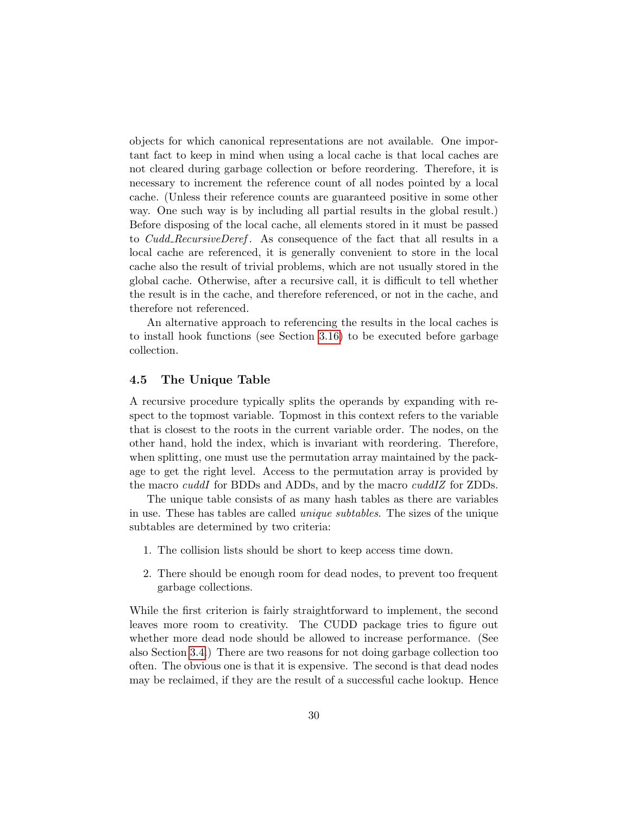<span id="page-29-1"></span>objects for which canonical representations are not available. One important fact to keep in mind when using a local cache is that local caches are not cleared during garbage collection or before reordering. Therefore, it is necessary to increment the reference count of all nodes pointed by a local cache. (Unless their reference counts are guaranteed positive in some other way. One such way is by including all partial results in the global result.) Before disposing of the local cache, all elements stored in it must be passed to *Cudd RecursiveDeref.* As consequence of the fact that all results in a local cache are referenced, it is generally convenient to store in the local cache also the result of trivial problems, which are not usually stored in the global cache. Otherwise, after a recursive call, it is difficult to tell whether the result is in the cache, and therefore referenced, or not in the cache, and therefore not referenced.

An alternative approach to referencing the results in the local caches is to install hook functions (see Section [3.16\)](#page-20-1) to be executed before garbage collection.

#### <span id="page-29-0"></span>4.5 The Unique Table

A recursive procedure typically splits the operands by expanding with respect to the topmost variable. Topmost in this context refers to the variable that is closest to the roots in the current variable order. The nodes, on the other hand, hold the index, which is invariant with reordering. Therefore, when splitting, one must use the permutation array maintained by the package to get the right level. Access to the permutation array is provided by the macro *cuddI* for BDDs and ADDs, and by the macro *cuddIZ* for ZDDs.

The unique table consists of as many hash tables as there are variables in use. These has tables are called unique subtables. The sizes of the unique subtables are determined by two criteria:

- 1. The collision lists should be short to keep access time down.
- 2. There should be enough room for dead nodes, to prevent too frequent garbage collections.

While the first criterion is fairly straightforward to implement, the second leaves more room to creativity. The CUDD package tries to figure out whether more dead node should be allowed to increase performance. (See also Section [3.4.](#page-8-0)) There are two reasons for not doing garbage collection too often. The obvious one is that it is expensive. The second is that dead nodes may be reclaimed, if they are the result of a successful cache lookup. Hence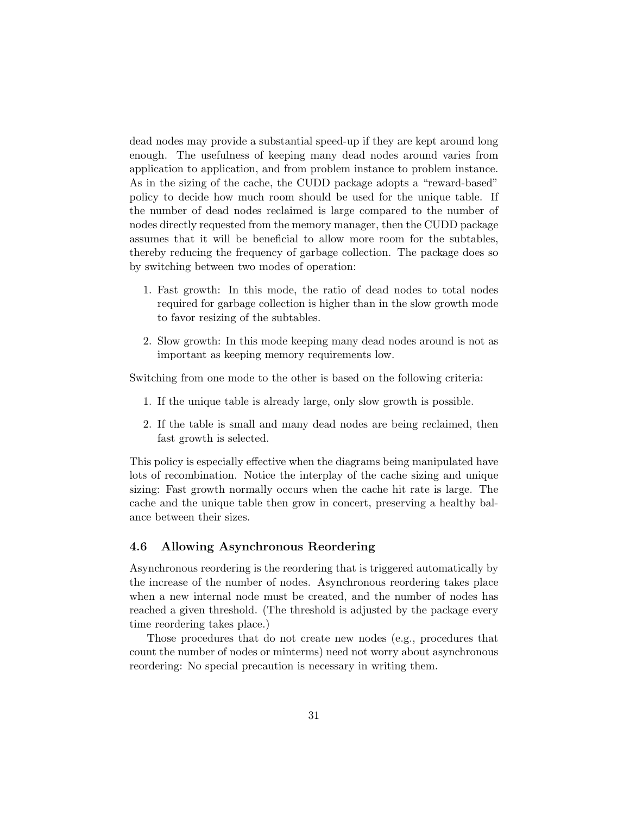<span id="page-30-1"></span>dead nodes may provide a substantial speed-up if they are kept around long enough. The usefulness of keeping many dead nodes around varies from application to application, and from problem instance to problem instance. As in the sizing of the cache, the CUDD package adopts a "reward-based" policy to decide how much room should be used for the unique table. If the number of dead nodes reclaimed is large compared to the number of nodes directly requested from the memory manager, then the CUDD package assumes that it will be beneficial to allow more room for the subtables, thereby reducing the frequency of garbage collection. The package does so by switching between two modes of operation:

- 1. Fast growth: In this mode, the ratio of dead nodes to total nodes required for garbage collection is higher than in the slow growth mode to favor resizing of the subtables.
- 2. Slow growth: In this mode keeping many dead nodes around is not as important as keeping memory requirements low.

Switching from one mode to the other is based on the following criteria:

- 1. If the unique table is already large, only slow growth is possible.
- 2. If the table is small and many dead nodes are being reclaimed, then fast growth is selected.

This policy is especially effective when the diagrams being manipulated have lots of recombination. Notice the interplay of the cache sizing and unique sizing: Fast growth normally occurs when the cache hit rate is large. The cache and the unique table then grow in concert, preserving a healthy balance between their sizes.

#### <span id="page-30-0"></span>4.6 Allowing Asynchronous Reordering

Asynchronous reordering is the reordering that is triggered automatically by the increase of the number of nodes. Asynchronous reordering takes place when a new internal node must be created, and the number of nodes has reached a given threshold. (The threshold is adjusted by the package every time reordering takes place.)

Those procedures that do not create new nodes (e.g., procedures that count the number of nodes or minterms) need not worry about asynchronous reordering: No special precaution is necessary in writing them.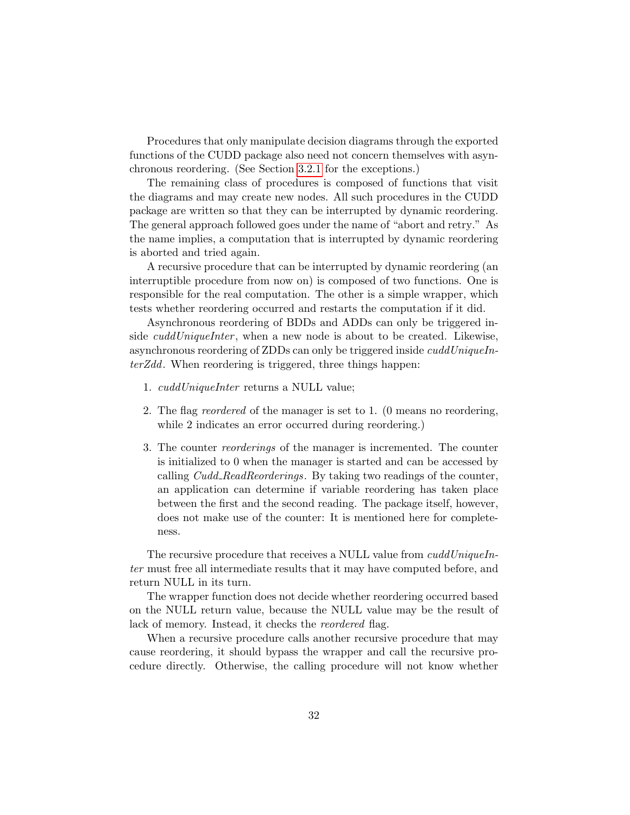<span id="page-31-0"></span>Procedures that only manipulate decision diagrams through the exported functions of the CUDD package also need not concern themselves with asynchronous reordering. (See Section [3.2.1](#page-5-3) for the exceptions.)

The remaining class of procedures is composed of functions that visit the diagrams and may create new nodes. All such procedures in the CUDD package are written so that they can be interrupted by dynamic reordering. The general approach followed goes under the name of "abort and retry." As the name implies, a computation that is interrupted by dynamic reordering is aborted and tried again.

A recursive procedure that can be interrupted by dynamic reordering (an interruptible procedure from now on) is composed of two functions. One is responsible for the real computation. The other is a simple wrapper, which tests whether reordering occurred and restarts the computation if it did.

Asynchronous reordering of BDDs and ADDs can only be triggered inside *cuddUniqueInter*, when a new node is about to be created. Likewise, asynchronous reordering of ZDDs can only be triggered inside cuddUniqueInterZdd. When reordering is triggered, three things happen:

- 1. cuddUniqueInter returns a NULL value;
- 2. The flag reordered of the manager is set to 1. (0 means no reordering, while 2 indicates an error occurred during reordering.)
- 3. The counter reorderings of the manager is incremented. The counter is initialized to 0 when the manager is started and can be accessed by calling *Cudd\_ReadReorderings*. By taking two readings of the counter, an application can determine if variable reordering has taken place between the first and the second reading. The package itself, however, does not make use of the counter: It is mentioned here for completeness.

The recursive procedure that receives a NULL value from cuddUniqueInter must free all intermediate results that it may have computed before, and return NULL in its turn.

The wrapper function does not decide whether reordering occurred based on the NULL return value, because the NULL value may be the result of lack of memory. Instead, it checks the *reordered* flag.

When a recursive procedure calls another recursive procedure that may cause reordering, it should bypass the wrapper and call the recursive procedure directly. Otherwise, the calling procedure will not know whether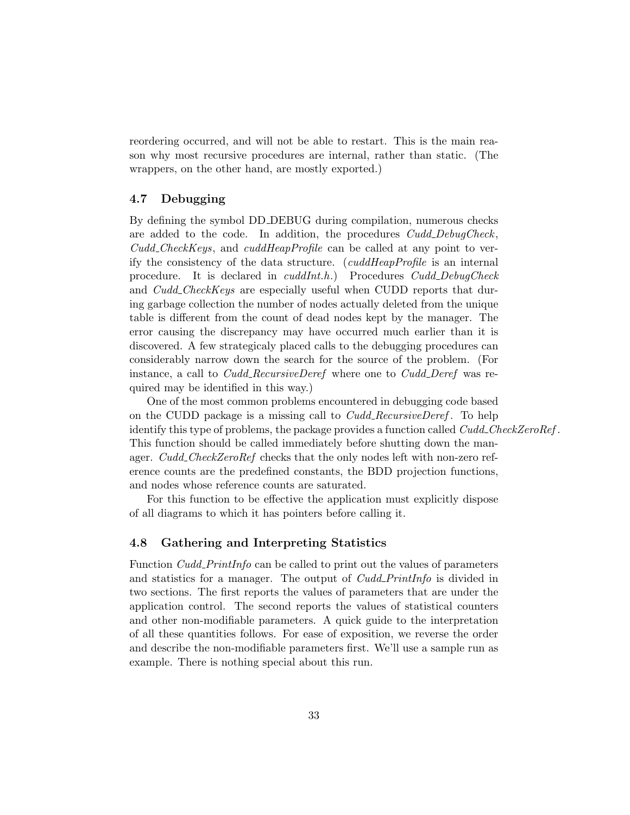<span id="page-32-2"></span>reordering occurred, and will not be able to restart. This is the main reason why most recursive procedures are internal, rather than static. (The wrappers, on the other hand, are mostly exported.)

#### <span id="page-32-0"></span>4.7 Debugging

By defining the symbol DD DEBUG during compilation, numerous checks are added to the code. In addition, the procedures Cudd\_DebugCheck,  $Cudd\_CheckKeys$ , and  $cuddHeapProfile$  can be called at any point to verify the consistency of the data structure. (cuddHeapProfile is an internal procedure. It is declared in *cuddInt.h.*) Procedures *Cudd\_DebugCheck* and *Cudd\_CheckKeys* are especially useful when CUDD reports that during garbage collection the number of nodes actually deleted from the unique table is different from the count of dead nodes kept by the manager. The error causing the discrepancy may have occurred much earlier than it is discovered. A few strategicaly placed calls to the debugging procedures can considerably narrow down the search for the source of the problem. (For instance, a call to *Cudd\_RecursiveDeref* where one to *Cudd\_Deref* was required may be identified in this way.)

One of the most common problems encountered in debugging code based on the CUDD package is a missing call to  $Cudd\_RecursiveDerf$ . To help identify this type of problems, the package provides a function called Cudd CheckZeroRef. This function should be called immediately before shutting down the manager. Cudd\_CheckZeroRef checks that the only nodes left with non-zero reference counts are the predefined constants, the BDD projection functions, and nodes whose reference counts are saturated.

For this function to be effective the application must explicitly dispose of all diagrams to which it has pointers before calling it.

#### <span id="page-32-1"></span>4.8 Gathering and Interpreting Statistics

Function Cudd PrintInfo can be called to print out the values of parameters and statistics for a manager. The output of *Cudd\_PrintInfo* is divided in two sections. The first reports the values of parameters that are under the application control. The second reports the values of statistical counters and other non-modifiable parameters. A quick guide to the interpretation of all these quantities follows. For ease of exposition, we reverse the order and describe the non-modifiable parameters first. We'll use a sample run as example. There is nothing special about this run.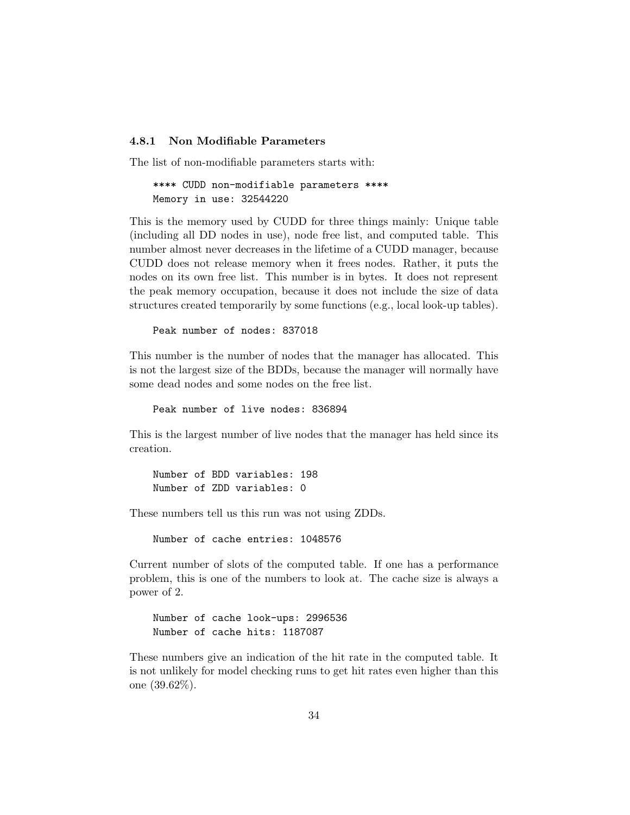#### <span id="page-33-0"></span>4.8.1 Non Modifiable Parameters

The list of non-modifiable parameters starts with:

```
**** CUDD non-modifiable parameters ****
Memory in use: 32544220
```
This is the memory used by CUDD for three things mainly: Unique table (including all DD nodes in use), node free list, and computed table. This number almost never decreases in the lifetime of a CUDD manager, because CUDD does not release memory when it frees nodes. Rather, it puts the nodes on its own free list. This number is in bytes. It does not represent the peak memory occupation, because it does not include the size of data structures created temporarily by some functions (e.g., local look-up tables).

Peak number of nodes: 837018

This number is the number of nodes that the manager has allocated. This is not the largest size of the BDDs, because the manager will normally have some dead nodes and some nodes on the free list.

Peak number of live nodes: 836894

This is the largest number of live nodes that the manager has held since its creation.

Number of BDD variables: 198 Number of ZDD variables: 0

These numbers tell us this run was not using ZDDs.

Number of cache entries: 1048576

Current number of slots of the computed table. If one has a performance problem, this is one of the numbers to look at. The cache size is always a power of 2.

```
Number of cache look-ups: 2996536
Number of cache hits: 1187087
```
These numbers give an indication of the hit rate in the computed table. It is not unlikely for model checking runs to get hit rates even higher than this one (39.62%).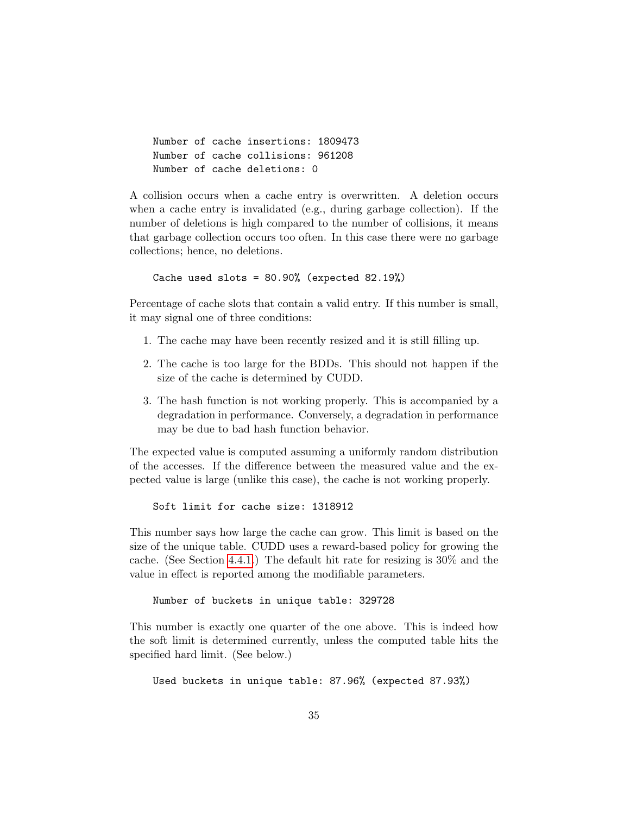```
Number of cache insertions: 1809473
Number of cache collisions: 961208
Number of cache deletions: 0
```
A collision occurs when a cache entry is overwritten. A deletion occurs when a cache entry is invalidated (e.g., during garbage collection). If the number of deletions is high compared to the number of collisions, it means that garbage collection occurs too often. In this case there were no garbage collections; hence, no deletions.

Cache used slots =  $80.90\%$  (expected  $82.19\%)$ 

Percentage of cache slots that contain a valid entry. If this number is small, it may signal one of three conditions:

- 1. The cache may have been recently resized and it is still filling up.
- 2. The cache is too large for the BDDs. This should not happen if the size of the cache is determined by CUDD.
- 3. The hash function is not working properly. This is accompanied by a degradation in performance. Conversely, a degradation in performance may be due to bad hash function behavior.

The expected value is computed assuming a uniformly random distribution of the accesses. If the difference between the measured value and the expected value is large (unlike this case), the cache is not working properly.

Soft limit for cache size: 1318912

This number says how large the cache can grow. This limit is based on the size of the unique table. CUDD uses a reward-based policy for growing the cache. (See Section [4.4.1.](#page-28-0)) The default hit rate for resizing is 30% and the value in effect is reported among the modifiable parameters.

Number of buckets in unique table: 329728

This number is exactly one quarter of the one above. This is indeed how the soft limit is determined currently, unless the computed table hits the specified hard limit. (See below.)

Used buckets in unique table: 87.96% (expected 87.93%)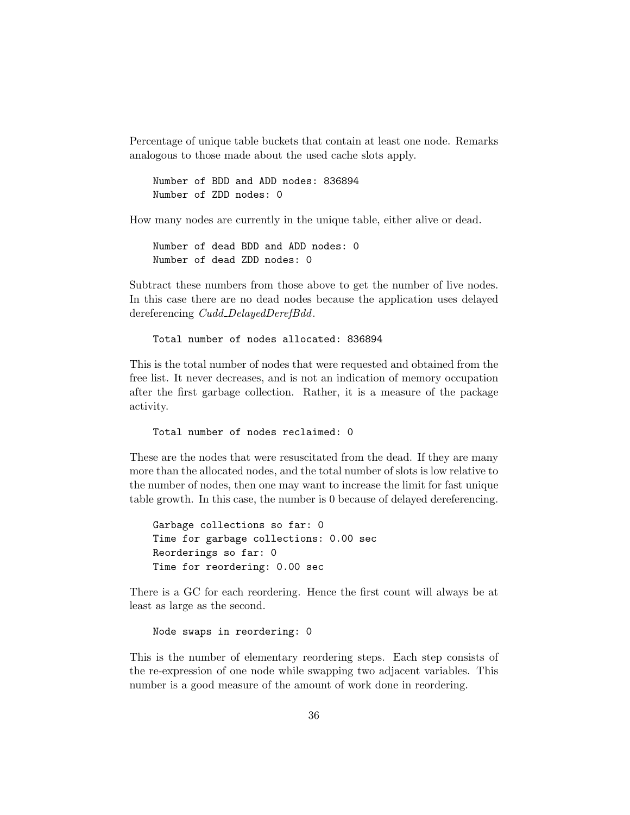<span id="page-35-0"></span>Percentage of unique table buckets that contain at least one node. Remarks analogous to those made about the used cache slots apply.

Number of BDD and ADD nodes: 836894 Number of ZDD nodes: 0

How many nodes are currently in the unique table, either alive or dead.

Number of dead BDD and ADD nodes: 0 Number of dead ZDD nodes: 0

Subtract these numbers from those above to get the number of live nodes. In this case there are no dead nodes because the application uses delayed dereferencing Cudd\_DelayedDerefBdd.

Total number of nodes allocated: 836894

This is the total number of nodes that were requested and obtained from the free list. It never decreases, and is not an indication of memory occupation after the first garbage collection. Rather, it is a measure of the package activity.

Total number of nodes reclaimed: 0

These are the nodes that were resuscitated from the dead. If they are many more than the allocated nodes, and the total number of slots is low relative to the number of nodes, then one may want to increase the limit for fast unique table growth. In this case, the number is 0 because of delayed dereferencing.

Garbage collections so far: 0 Time for garbage collections: 0.00 sec Reorderings so far: 0 Time for reordering: 0.00 sec

There is a GC for each reordering. Hence the first count will always be at least as large as the second.

Node swaps in reordering: 0

This is the number of elementary reordering steps. Each step consists of the re-expression of one node while swapping two adjacent variables. This number is a good measure of the amount of work done in reordering.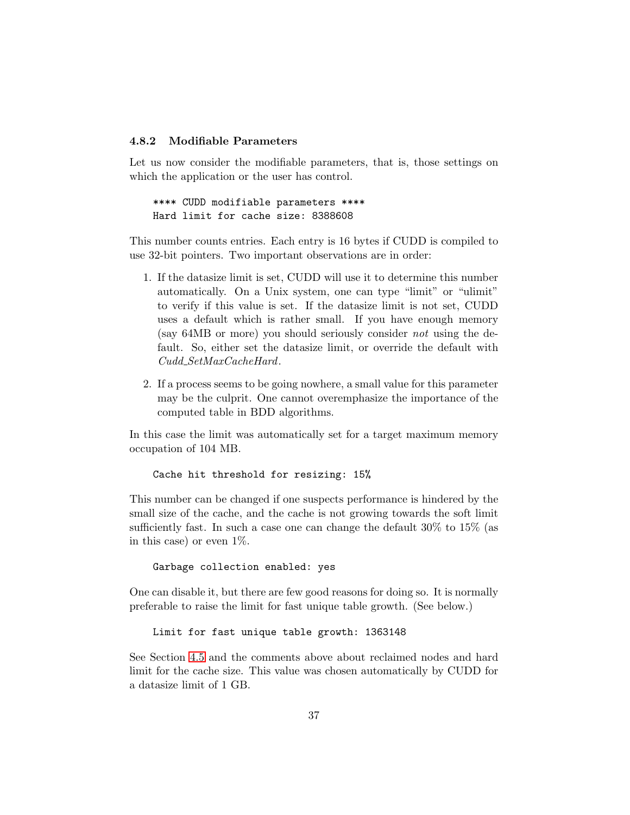#### <span id="page-36-1"></span><span id="page-36-0"></span>4.8.2 Modifiable Parameters

Let us now consider the modifiable parameters, that is, those settings on which the application or the user has control.

\*\*\*\* CUDD modifiable parameters \*\*\*\* Hard limit for cache size: 8388608

This number counts entries. Each entry is 16 bytes if CUDD is compiled to use 32-bit pointers. Two important observations are in order:

- 1. If the datasize limit is set, CUDD will use it to determine this number automatically. On a Unix system, one can type "limit" or "ulimit" to verify if this value is set. If the datasize limit is not set, CUDD uses a default which is rather small. If you have enough memory (say 64MB or more) you should seriously consider not using the default. So, either set the datasize limit, or override the default with Cudd SetMaxCacheHard.
- 2. If a process seems to be going nowhere, a small value for this parameter may be the culprit. One cannot overemphasize the importance of the computed table in BDD algorithms.

In this case the limit was automatically set for a target maximum memory occupation of 104 MB.

Cache hit threshold for resizing: 15%

This number can be changed if one suspects performance is hindered by the small size of the cache, and the cache is not growing towards the soft limit sufficiently fast. In such a case one can change the default 30% to 15% (as in this case) or even 1%.

#### Garbage collection enabled: yes

One can disable it, but there are few good reasons for doing so. It is normally preferable to raise the limit for fast unique table growth. (See below.)

Limit for fast unique table growth: 1363148

See Section [4.5](#page-29-0) and the comments above about reclaimed nodes and hard limit for the cache size. This value was chosen automatically by CUDD for a datasize limit of 1 GB.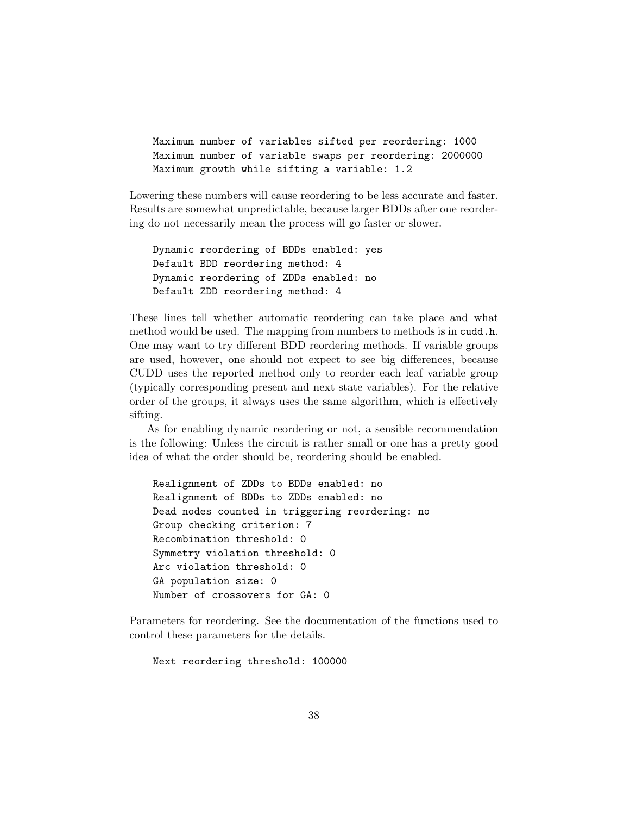```
Maximum number of variables sifted per reordering: 1000
Maximum number of variable swaps per reordering: 2000000
Maximum growth while sifting a variable: 1.2
```
Lowering these numbers will cause reordering to be less accurate and faster. Results are somewhat unpredictable, because larger BDDs after one reordering do not necessarily mean the process will go faster or slower.

```
Dynamic reordering of BDDs enabled: yes
Default BDD reordering method: 4
Dynamic reordering of ZDDs enabled: no
Default ZDD reordering method: 4
```
These lines tell whether automatic reordering can take place and what method would be used. The mapping from numbers to methods is in cudd.h. One may want to try different BDD reordering methods. If variable groups are used, however, one should not expect to see big differences, because CUDD uses the reported method only to reorder each leaf variable group (typically corresponding present and next state variables). For the relative order of the groups, it always uses the same algorithm, which is effectively sifting.

As for enabling dynamic reordering or not, a sensible recommendation is the following: Unless the circuit is rather small or one has a pretty good idea of what the order should be, reordering should be enabled.

```
Realignment of ZDDs to BDDs enabled: no
Realignment of BDDs to ZDDs enabled: no
Dead nodes counted in triggering reordering: no
Group checking criterion: 7
Recombination threshold: 0
Symmetry violation threshold: 0
Arc violation threshold: 0
GA population size: 0
Number of crossovers for GA: 0
```
Parameters for reordering. See the documentation of the functions used to control these parameters for the details.

Next reordering threshold: 100000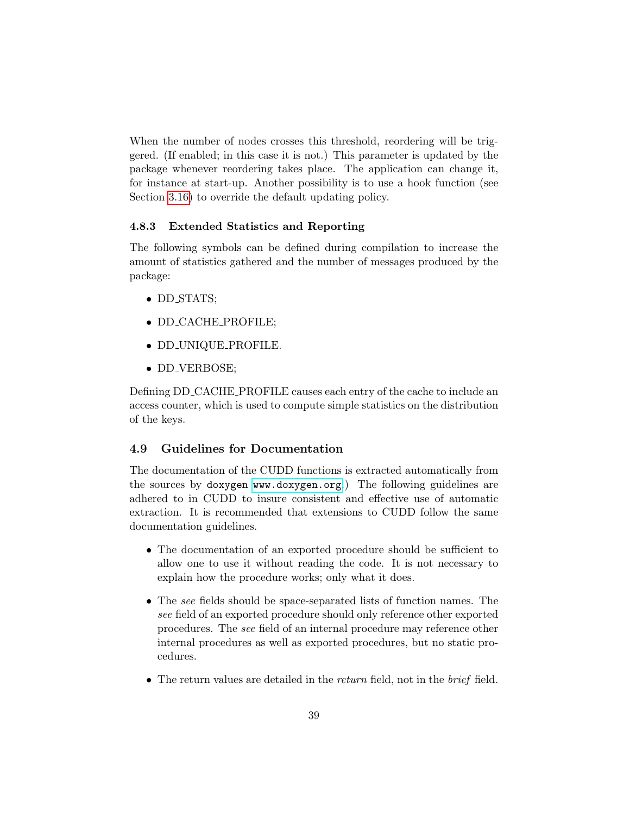<span id="page-38-2"></span>When the number of nodes crosses this threshold, reordering will be triggered. (If enabled; in this case it is not.) This parameter is updated by the package whenever reordering takes place. The application can change it, for instance at start-up. Another possibility is to use a hook function (see Section [3.16\)](#page-20-1) to override the default updating policy.

#### <span id="page-38-0"></span>4.8.3 Extended Statistics and Reporting

The following symbols can be defined during compilation to increase the amount of statistics gathered and the number of messages produced by the package:

- DD STATS;
- DD\_CACHE\_PROFILE;
- DD UNIQUE PROFILE.
- DD VERBOSE;

Defining DD CACHE PROFILE causes each entry of the cache to include an access counter, which is used to compute simple statistics on the distribution of the keys.

#### <span id="page-38-1"></span>4.9 Guidelines for Documentation

The documentation of the CUDD functions is extracted automatically from the sources by doxygen [www.doxygen.org](http://www.doxygen.org).) The following guidelines are adhered to in CUDD to insure consistent and effective use of automatic extraction. It is recommended that extensions to CUDD follow the same documentation guidelines.

- The documentation of an exported procedure should be sufficient to allow one to use it without reading the code. It is not necessary to explain how the procedure works; only what it does.
- The see fields should be space-separated lists of function names. The see field of an exported procedure should only reference other exported procedures. The see field of an internal procedure may reference other internal procedures as well as exported procedures, but no static procedures.
- The return values are detailed in the *return* field, not in the *brief* field.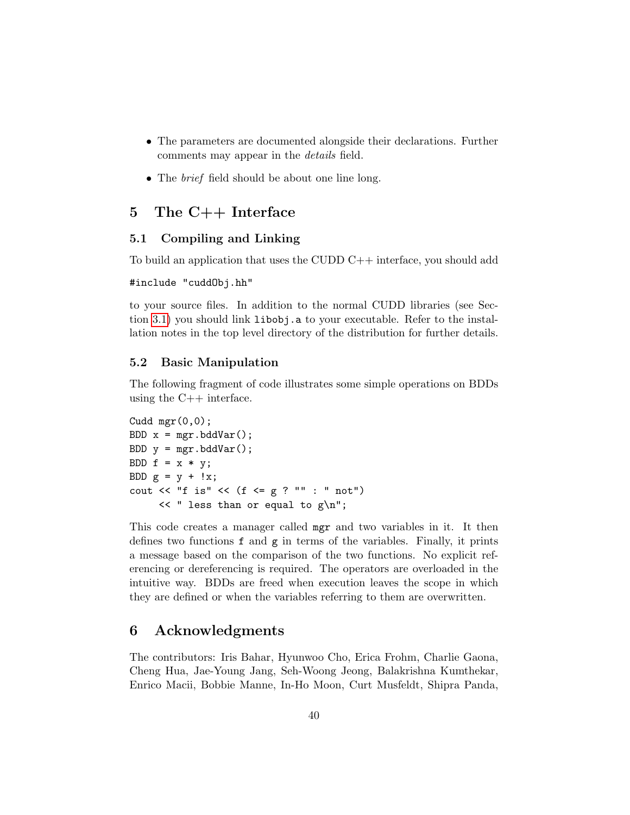- <span id="page-39-4"></span>• The parameters are documented alongside their declarations. Further comments may appear in the details field.
- The *brief* field should be about one line long.

## <span id="page-39-0"></span>5 The C++ Interface

#### <span id="page-39-1"></span>5.1 Compiling and Linking

To build an application that uses the CUDD C++ interface, you should add

```
#include "cuddObj.hh"
```
to your source files. In addition to the normal CUDD libraries (see Section [3.1\)](#page-5-1) you should link libobj.a to your executable. Refer to the installation notes in the top level directory of the distribution for further details.

#### <span id="page-39-2"></span>5.2 Basic Manipulation

The following fragment of code illustrates some simple operations on BDDs using the  $C++$  interface.

```
Cudd mgr(0,0);BDD x = mgr. bddVar();
BDD y = mgr.bddVar();
BDD f = x * y;BDD g = y + !x;cout \lt\lt "f is" \lt\lt (f \lt = g ? "" : " not")
     << " less than or equal to g\n";
```
This code creates a manager called mgr and two variables in it. It then defines two functions f and g in terms of the variables. Finally, it prints a message based on the comparison of the two functions. No explicit referencing or dereferencing is required. The operators are overloaded in the intuitive way. BDDs are freed when execution leaves the scope in which they are defined or when the variables referring to them are overwritten.

## <span id="page-39-3"></span>6 Acknowledgments

The contributors: Iris Bahar, Hyunwoo Cho, Erica Frohm, Charlie Gaona, Cheng Hua, Jae-Young Jang, Seh-Woong Jeong, Balakrishna Kumthekar, Enrico Macii, Bobbie Manne, In-Ho Moon, Curt Musfeldt, Shipra Panda,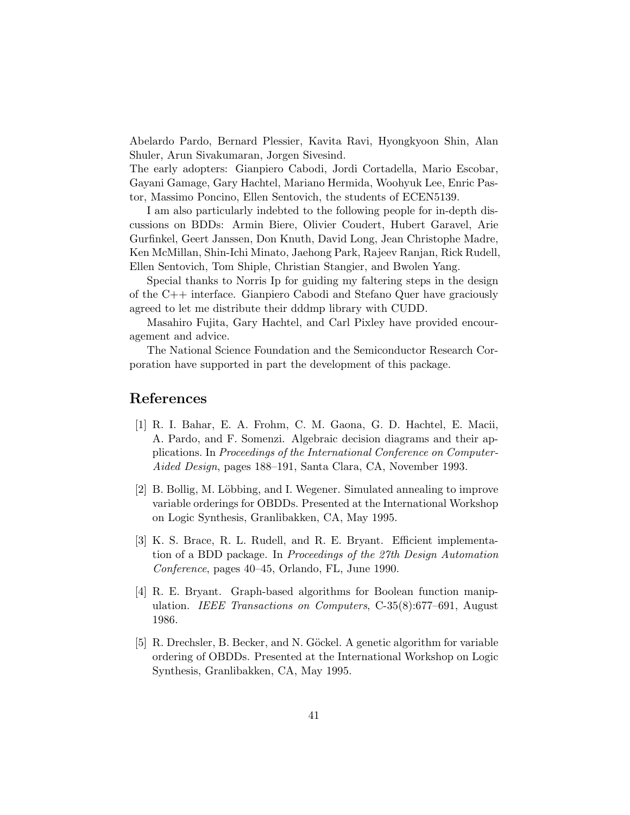Abelardo Pardo, Bernard Plessier, Kavita Ravi, Hyongkyoon Shin, Alan Shuler, Arun Sivakumaran, Jorgen Sivesind.

The early adopters: Gianpiero Cabodi, Jordi Cortadella, Mario Escobar, Gayani Gamage, Gary Hachtel, Mariano Hermida, Woohyuk Lee, Enric Pastor, Massimo Poncino, Ellen Sentovich, the students of ECEN5139.

I am also particularly indebted to the following people for in-depth discussions on BDDs: Armin Biere, Olivier Coudert, Hubert Garavel, Arie Gurfinkel, Geert Janssen, Don Knuth, David Long, Jean Christophe Madre, Ken McMillan, Shin-Ichi Minato, Jaehong Park, Rajeev Ranjan, Rick Rudell, Ellen Sentovich, Tom Shiple, Christian Stangier, and Bwolen Yang.

Special thanks to Norris Ip for guiding my faltering steps in the design of the C++ interface. Gianpiero Cabodi and Stefano Quer have graciously agreed to let me distribute their dddmp library with CUDD.

Masahiro Fujita, Gary Hachtel, and Carl Pixley have provided encouragement and advice.

The National Science Foundation and the Semiconductor Research Corporation have supported in part the development of this package.

## <span id="page-40-0"></span>References

- <span id="page-40-3"></span>[1] R. I. Bahar, E. A. Frohm, C. M. Gaona, G. D. Hachtel, E. Macii, A. Pardo, and F. Somenzi. Algebraic decision diagrams and their applications. In Proceedings of the International Conference on Computer-Aided Design, pages 188–191, Santa Clara, CA, November 1993.
- <span id="page-40-5"></span>[2] B. Bollig, M. Löbbing, and I. Wegener. Simulated annealing to improve variable orderings for OBDDs. Presented at the International Workshop on Logic Synthesis, Granlibakken, CA, May 1995.
- <span id="page-40-2"></span>[3] K. S. Brace, R. L. Rudell, and R. E. Bryant. Efficient implementation of a BDD package. In Proceedings of the 27th Design Automation Conference, pages 40–45, Orlando, FL, June 1990.
- <span id="page-40-1"></span>[4] R. E. Bryant. Graph-based algorithms for Boolean function manipulation. IEEE Transactions on Computers, C-35(8):677–691, August 1986.
- <span id="page-40-4"></span>[5] R. Drechsler, B. Becker, and N. Göckel. A genetic algorithm for variable ordering of OBDDs. Presented at the International Workshop on Logic Synthesis, Granlibakken, CA, May 1995.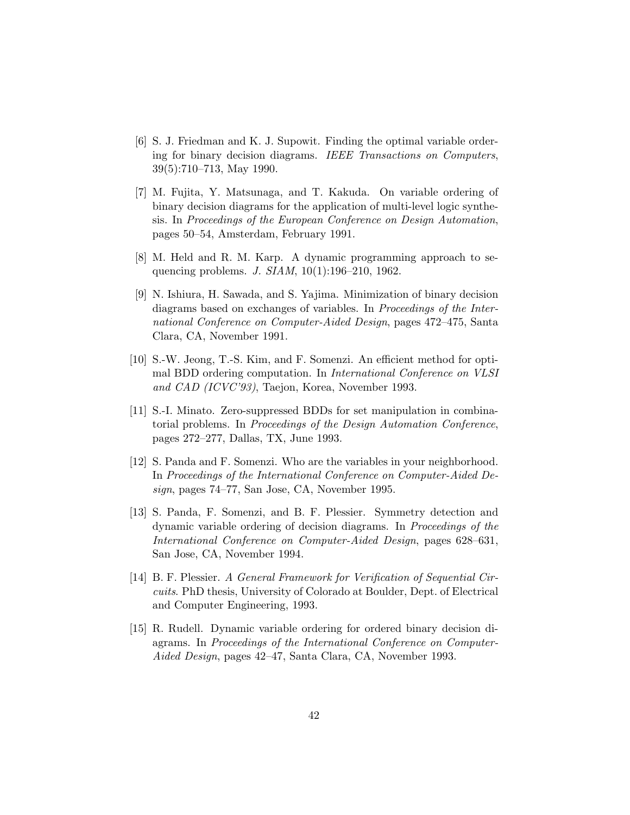- <span id="page-41-10"></span>[6] S. J. Friedman and K. J. Supowit. Finding the optimal variable ordering for binary decision diagrams. IEEE Transactions on Computers, 39(5):710–713, May 1990.
- <span id="page-41-8"></span>[7] M. Fujita, Y. Matsunaga, and T. Kakuda. On variable ordering of binary decision diagrams for the application of multi-level logic synthesis. In Proceedings of the European Conference on Design Automation, pages 50–54, Amsterdam, February 1991.
- <span id="page-41-9"></span>[8] M. Held and R. M. Karp. A dynamic programming approach to sequencing problems. J. SIAM, 10(1):196–210, 1962.
- <span id="page-41-3"></span>[9] N. Ishiura, H. Sawada, and S. Yajima. Minimization of binary decision diagrams based on exchanges of variables. In Proceedings of the International Conference on Computer-Aided Design, pages 472–475, Santa Clara, CA, November 1991.
- <span id="page-41-5"></span>[10] S.-W. Jeong, T.-S. Kim, and F. Somenzi. An efficient method for optimal BDD ordering computation. In International Conference on VLSI and CAD (ICVC'93), Taejon, Korea, November 1993.
- <span id="page-41-1"></span>[11] S.-I. Minato. Zero-suppressed BDDs for set manipulation in combinatorial problems. In Proceedings of the Design Automation Conference, pages 272–277, Dallas, TX, June 1993.
- <span id="page-41-7"></span>[12] S. Panda and F. Somenzi. Who are the variables in your neighborhood. In Proceedings of the International Conference on Computer-Aided Design, pages 74–77, San Jose, CA, November 1995.
- <span id="page-41-6"></span>[13] S. Panda, F. Somenzi, and B. F. Plessier. Symmetry detection and dynamic variable ordering of decision diagrams. In Proceedings of the International Conference on Computer-Aided Design, pages 628–631, San Jose, CA, November 1994.
- <span id="page-41-4"></span>[14] B. F. Plessier. A General Framework for Verification of Sequential Circuits. PhD thesis, University of Colorado at Boulder, Dept. of Electrical and Computer Engineering, 1993.
- <span id="page-41-2"></span><span id="page-41-0"></span>[15] R. Rudell. Dynamic variable ordering for ordered binary decision diagrams. In Proceedings of the International Conference on Computer-Aided Design, pages 42–47, Santa Clara, CA, November 1993.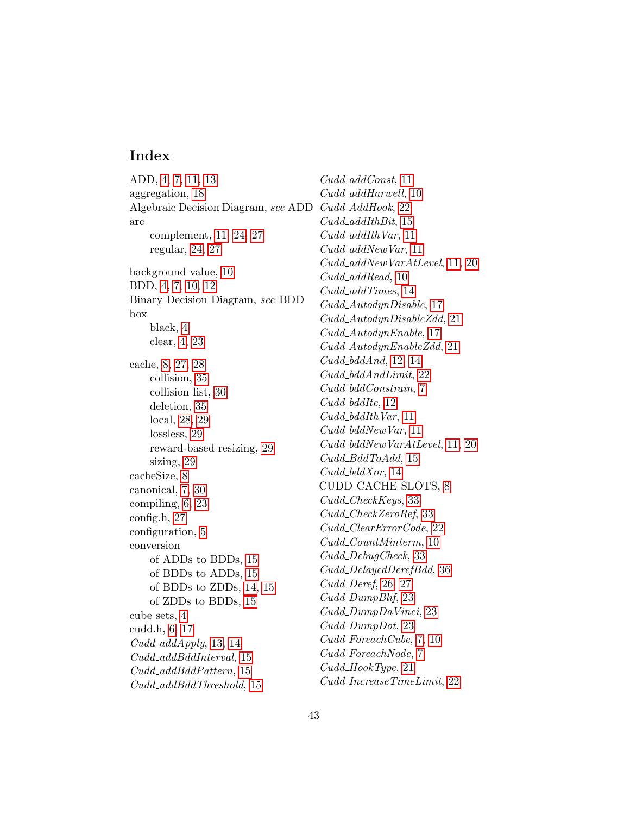## Index

ADD, [4,](#page-3-1) [7,](#page-6-1) [11,](#page-10-4) [13](#page-12-1) aggregation, [18](#page-17-0) Algebraic Decision Diagram, see ADD Cudd\_AddHook, [22](#page-21-1) arc complement, [11,](#page-10-4) [24,](#page-23-1) [27](#page-26-2) regular, [24,](#page-23-1) [27](#page-26-2) background value, [10](#page-9-2) BDD, [4,](#page-3-1) [7,](#page-6-1) [10,](#page-9-2) [12](#page-11-1) Binary Decision Diagram, see BDD box black, [4](#page-3-1) clear, [4,](#page-3-1) [23](#page-22-4) cache, [8,](#page-7-2) [27,](#page-26-2) [28](#page-27-1) collision, [35](#page-34-0) collision list, [30](#page-29-1) deletion, [35](#page-34-0) local, [28,](#page-27-1) [29](#page-28-2) lossless, [29](#page-28-2) reward-based resizing, [29](#page-28-2) sizing, [29](#page-28-2) cacheSize, [8](#page-7-2) canonical, [7,](#page-6-1) [30](#page-29-1) compiling, [6,](#page-5-4) [23](#page-22-4) config.h, [27](#page-26-2) configuration, [5](#page-4-3) conversion of ADDs to BDDs, [15](#page-14-2) of BDDs to ADDs, [15](#page-14-2) of BDDs to ZDDs, [14,](#page-13-1) [15](#page-14-2) of ZDDs to BDDs, [15](#page-14-2) cube sets, [4](#page-3-1) cudd.h, [6,](#page-5-4) [17](#page-16-0)  $Cudd\_addApply, 13, 14$  $Cudd\_addApply, 13, 14$  $Cudd\_addApply, 13, 14$ Cudd addBddInterval, [15](#page-14-2) Cudd addBddPattern, [15](#page-14-2) Cudd addBddThreshold, [15](#page-14-2)

Cudd<sub>-add</sub>Const, [11](#page-10-4) Cudd<sub>-add</sub>Harwell, [10](#page-9-2)  $Cudd\_addIthBit, 15$  $Cudd\_addIthBit, 15$  $Cudd\_addIthVar, 11$  $Cudd\_addIthVar, 11$ Cudd<sub>-</sub>addNewVar, [11](#page-10-4) Cudd addNewVarAtLevel, [11,](#page-10-4) [20](#page-19-2) Cudd<sub>-</sub>addRead, [10](#page-9-2) Cudd addTimes, [14](#page-13-1) Cudd AutodynDisable, [17](#page-16-0) Cudd AutodynDisableZdd, [21](#page-20-2) Cudd AutodynEnable, [17](#page-16-0) Cudd AutodynEnableZdd, [21](#page-20-2)  $Cudd\_bddAnd$ , [12,](#page-11-1) [14](#page-13-1) Cudd bddAndLimit, [22](#page-21-1) Cudd bddConstrain, [7](#page-6-1) Cudd bddIte, [12](#page-11-1)  $Cudd\_bddIthVar, 11$  $Cudd\_bddIthVar, 11$ Cudd bddNewVar, [11](#page-10-4) Cudd bddNewVarAtLevel, [11,](#page-10-4) [20](#page-19-2)  $Cudd\_BddToAdd, 15$  $Cudd\_BddToAdd, 15$ Cudd bddXor, [14](#page-13-1) CUDD CACHE SLOTS, [8](#page-7-2) Cudd<sub>-Check</sub>Keys, [33](#page-32-2) Cudd CheckZeroRef, [33](#page-32-2) Cudd ClearErrorCode, [22](#page-21-1) Cudd CountMinterm, [10](#page-9-2) Cudd DebugCheck, [33](#page-32-2) Cudd DelayedDerefBdd, [36](#page-35-0)  $Cudd\_Deref, 26, 27$  $Cudd\_Deref, 26, 27$  $Cudd\_Deref, 26, 27$ Cudd DumpBlif, [23](#page-22-4) Cudd DumpDaVinci, [23](#page-22-4) Cudd DumpDot, [23](#page-22-4) Cudd ForeachCube, [7,](#page-6-1) [10](#page-9-2) Cudd ForeachNode, [7](#page-6-1) Cudd HookType, [21](#page-20-2) Cudd IncreaseTimeLimit, [22](#page-21-1)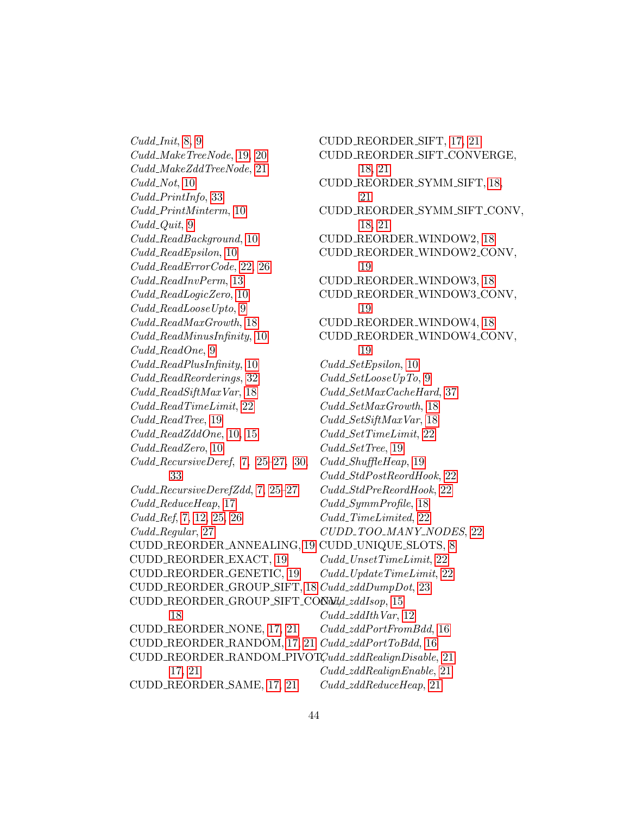$Cudd\_Init, 8, 9$  $Cudd\_Init, 8, 9$  $Cudd\_Init, 8, 9$ Cudd MakeTreeNode, [19,](#page-18-1) [20](#page-19-2) Cudd MakeZddTreeNode, [21](#page-20-2)  $Cudd\_Not, 10$  $Cudd\_Not, 10$ Cudd PrintInfo, [33](#page-32-2) Cudd PrintMinterm, [10](#page-9-2)  $Cudd\_Quit, 9$  $Cudd\_Quit, 9$ Cudd ReadBackground, [10](#page-9-2) Cudd\_ReadEpsilon, [10](#page-9-2) Cudd ReadErrorCode, [22,](#page-21-1) [26](#page-25-3) Cudd ReadInvPerm, [13](#page-12-1) Cudd ReadLogicZero, [10](#page-9-2) Cudd ReadLooseUpto, [9](#page-8-3) Cudd ReadMaxGrowth, [18](#page-17-0) Cudd ReadMinusInfinity, [10](#page-9-2) Cudd\_ReadOne, [9](#page-8-3) Cudd ReadPlusInfinity, [10](#page-9-2) Cudd ReadReorderings, [32](#page-31-0)  $Cudd\_ReadSiftMaxVar, 18$  $Cudd\_ReadSiftMaxVar, 18$ Cudd ReadTimeLimit, [22](#page-21-1) Cudd\_ReadTree, [19](#page-18-1)  $Cudd\_ReadZddOne, 10, 15$  $Cudd\_ReadZddOne, 10, 15$  $Cudd\_ReadZddOne, 10, 15$  $Cudd\_ReadZero, 10$  $Cudd\_ReadZero, 10$ Cudd RecursiveDeref, [7,](#page-6-1) [25](#page-24-1)[–27,](#page-26-2) [30,](#page-29-1) [33](#page-32-2) Cudd RecursiveDerefZdd, [7,](#page-6-1) [25](#page-24-1)[–27](#page-26-2) Cudd\_ReduceHeap, [17](#page-16-0) Cudd<sub>-Ref</sub>, [7,](#page-6-1) [12,](#page-11-1) [25,](#page-24-1) [26](#page-25-3) Cudd<sub>-Regular, [27](#page-26-2)</sub> CUDD REORDER ANNEALING, [19](#page-18-1) CUDD UNIQUE SLOTS, [8](#page-7-2) CUDD REORDER EXACT, [19](#page-18-1) CUDD REORDER GENETIC, [19](#page-18-1) CUDD REORDER GROUP SIFT, [18](#page-17-0) Cudd zddDumpDot, [23](#page-22-4) CUDD REORDER GROUP SIFT CONMId-zddIsop, [15](#page-14-2) [18](#page-17-0) CUDD REORDER NONE, [17,](#page-16-0) [21](#page-20-2) CUDD\_REORDER\_RANDOM, [17,](#page-16-0) [21](#page-20-2) Cudd\_zddPortToBdd, [16](#page-15-1) CUDD\_REORDER\_RANDOM\_PIVOTÇudd\_zddRealignDisable, [21](#page-20-2) [17,](#page-16-0) [21](#page-20-2) CUDD REORDER SAME, [17,](#page-16-0) [21](#page-20-2) CUDD REORDER SIFT, [17,](#page-16-0) [21](#page-20-2) CUDD REORDER SIFT CONVERGE, [18,](#page-17-0) [21](#page-20-2) CUDD REORDER SYMM SIFT, [18,](#page-17-0) [21](#page-20-2) CUDD REORDER SYMM SIFT CONV, [18,](#page-17-0) [21](#page-20-2) CUDD REORDER WINDOW2, [18](#page-17-0) CUDD REORDER WINDOW2 CONV, [19](#page-18-1) CUDD REORDER WINDOW3, [18](#page-17-0) CUDD REORDER WINDOW3 CONV, [19](#page-18-1) CUDD REORDER WINDOW4, [18](#page-17-0) CUDD REORDER WINDOW4 CONV, [19](#page-18-1) Cudd SetEpsilon, [10](#page-9-2) Cudd SetLooseUpTo, [9](#page-8-3) Cudd SetMaxCacheHard, [37](#page-36-1) Cudd SetMaxGrowth, [18](#page-17-0) Cudd SetSiftMaxVar, [18](#page-17-0) Cudd SetTimeLimit, [22](#page-21-1) Cudd\_SetTree, [19](#page-18-1) Cudd ShuffleHeap, [19](#page-18-1) Cudd StdPostReordHook, [22](#page-21-1) Cudd StdPreReordHook, [22](#page-21-1) Cudd SymmProfile, [18](#page-17-0) Cudd<sub>-TimeLimited, [22](#page-21-1)</sub> CUDD\_TOO\_MANY\_NODES, [22](#page-21-1) Cudd UnsetTimeLimit, [22](#page-21-1)  $Cudd\_UpdateTimeLimit, 22$  $Cudd\_UpdateTimeLimit, 22$  $Cudd\_zddIthVar, 12$  $Cudd\_zddIthVar, 12$ Cudd zddPortFromBdd, [16](#page-15-1) Cudd zddRealignEnable, [21](#page-20-2) Cudd zddReduceHeap, [21](#page-20-2)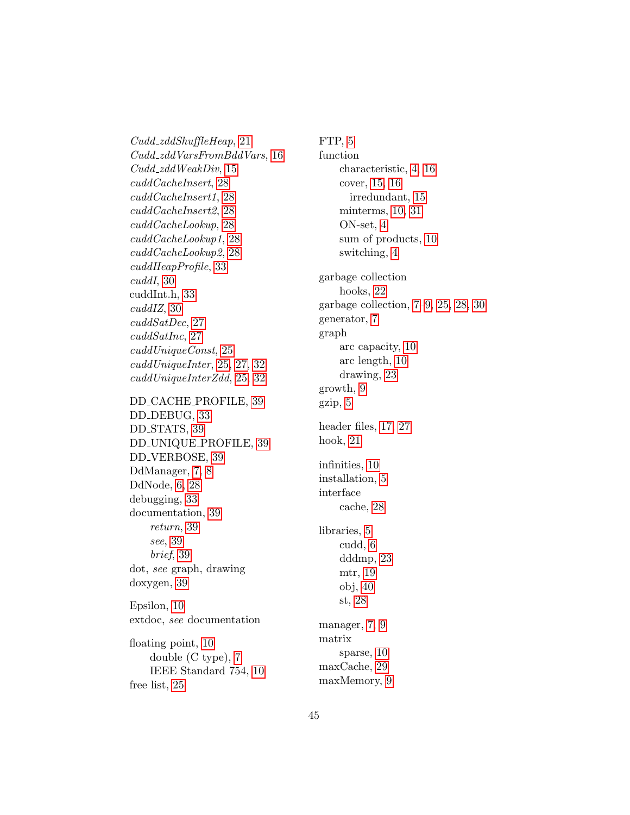Cudd zddShuffleHeap, [21](#page-20-2) Cudd zddVarsFromBddVars, [16](#page-15-1) Cudd zddWeakDiv, [15](#page-14-2) cuddCacheInsert, [28](#page-27-1) cuddCacheInsert1, [28](#page-27-1) cuddCacheInsert2, [28](#page-27-1) cuddCacheLookup, [28](#page-27-1) cuddCacheLookup1, [28](#page-27-1) cuddCacheLookup2, [28](#page-27-1) cuddHeapProfile, [33](#page-32-2) cuddI, [30](#page-29-1) cuddInt.h, [33](#page-32-2) cuddIZ, [30](#page-29-1) cuddSatDec, [27](#page-26-2) cuddSatInc, [27](#page-26-2) cuddUniqueConst, [25](#page-24-1) cuddUniqueInter, [25,](#page-24-1) [27,](#page-26-2) [32](#page-31-0) cuddUniqueInterZdd, [25,](#page-24-1) [32](#page-31-0) DD CACHE PROFILE, [39](#page-38-2) DD DEBUG, [33](#page-32-2) DD STATS, [39](#page-38-2) DD UNIQUE PROFILE, [39](#page-38-2) DD VERBOSE, [39](#page-38-2) DdManager, [7,](#page-6-1) [8](#page-7-2) DdNode, [6,](#page-5-4) [28](#page-27-1) debugging, [33](#page-32-2) documentation, [39](#page-38-2) return, [39](#page-38-2) see, [39](#page-38-2) brief, [39](#page-38-2) dot, see graph, drawing doxygen, [39](#page-38-2) Epsilon, [10](#page-9-2) extdoc, see documentation floating point, [10](#page-9-2)

double (C type), [7](#page-6-1) IEEE Standard 754, [10](#page-9-2) free list, [25](#page-24-1)

FTP, [5](#page-4-3) function characteristic, [4,](#page-3-1) [16](#page-15-1) cover, [15,](#page-14-2) [16](#page-15-1) irredundant, [15](#page-14-2) minterms, [10,](#page-9-2) [31](#page-30-1) ON-set, [4](#page-3-1) sum of products, [10](#page-9-2) switching, [4](#page-3-1) garbage collection hooks, [22](#page-21-1) garbage collection, [7–](#page-6-1)[9,](#page-8-3) [25,](#page-24-1) [28,](#page-27-1) [30](#page-29-1) generator, [7](#page-6-1) graph arc capacity, [10](#page-9-2) arc length, [10](#page-9-2) drawing, [23](#page-22-4) growth, [9](#page-8-3) gzip, [5](#page-4-3) header files, [17,](#page-16-0) [27](#page-26-2) hook, [21](#page-20-2) infinities, [10](#page-9-2) installation, [5](#page-4-3) interface cache, [28](#page-27-1) libraries, [5](#page-4-3) cudd, [6](#page-5-4) dddmp, [23](#page-22-4) mtr, [19](#page-18-1) obj, [40](#page-39-4) st, [28](#page-27-1) manager, [7,](#page-6-1) [9](#page-8-3) matrix sparse, [10](#page-9-2) maxCache, [29](#page-28-2) maxMemory, [9](#page-8-3)